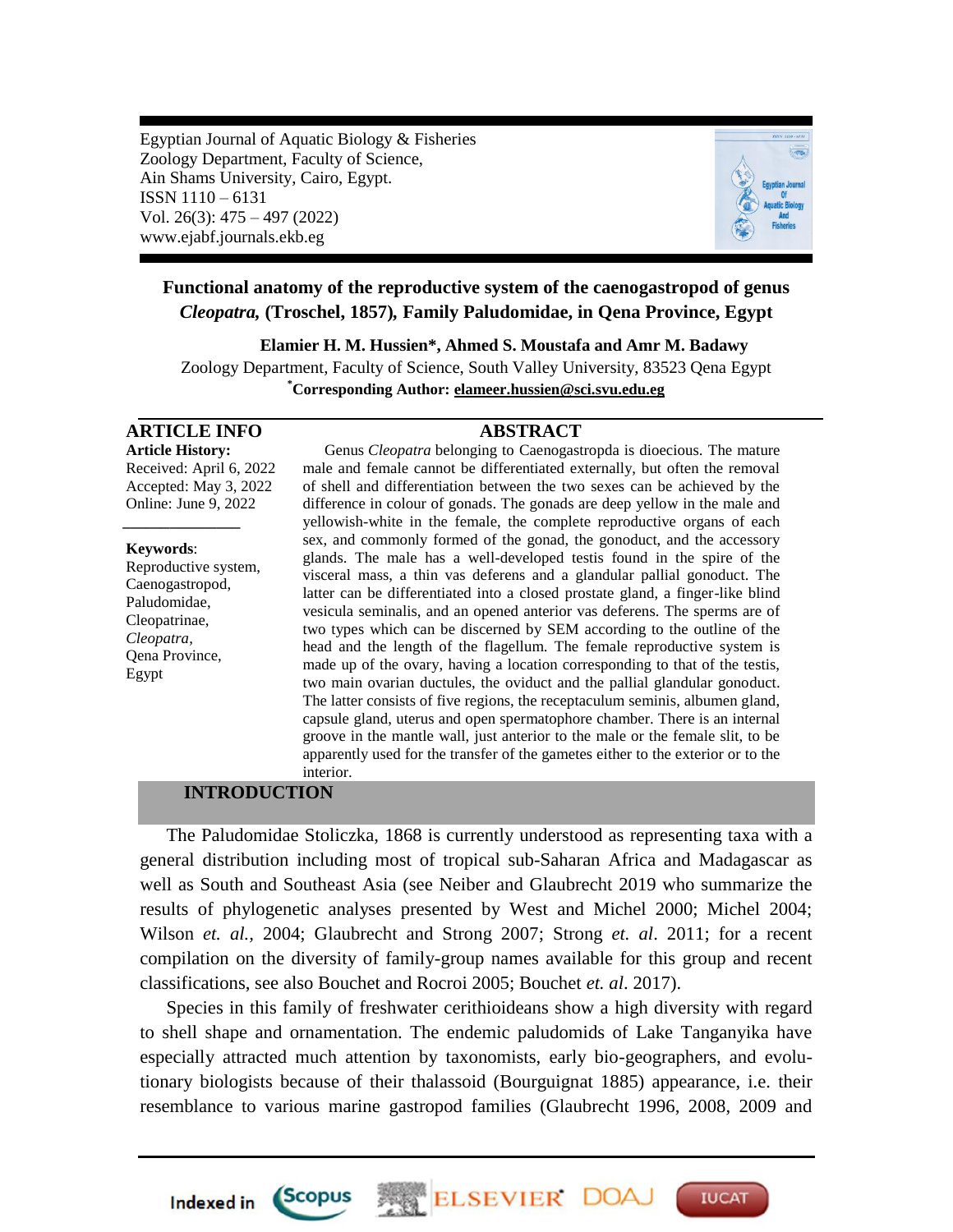Egyptian Journal of Aquatic Biology & Fisheries Zoology Department, Faculty of Science, Ain Shams University, Cairo, Egypt. ISSN 1110 – 6131 Vol. 26(3): 475 – 497 (2022) www.ejabf.journals.ekb.eg



# **Functional anatomy of the reproductive system of the caenogastropod of genus**  *Cleopatra,* **(Troschel, 1857)***,* **Family Paludomidae, in Qena Province, Egypt**

**Elamier H. M. Hussien\*, Ahmed S. Moustafa and Amr M. Badawy** Zoology Department, Faculty of Science, South Valley University, 83523 Qena Egypt **\*Corresponding Author: [elameer.hussien@sci.svu.edu.eg](mailto:elameer.hussien@sci.svu.edu.eg)**

# **ARTICLE INFO ABSTRACT**

**Article History:** Received: April 6, 2022 Accepted: May 3, 2022 Online: June 9, 2022

*\_\_\_\_\_\_\_\_\_\_\_\_\_\_\_*

**Keywords**: Reproductive system, Caenogastropod, Paludomidae, Cleopatrinae, *Cleopatra*, Qena Province, Egypt

Genus *Cleopatra* belonging to Caenogastropda is dioecious. The mature male and female cannot be differentiated externally, but often the removal of shell and differentiation between the two sexes can be achieved by the difference in colour of gonads. The gonads are deep yellow in the male and yellowish-white in the female, the complete reproductive organs of each sex, and commonly formed of the gonad, the gonoduct, and the accessory glands. The male has a well-developed testis found in the spire of the visceral mass, a thin vas deferens and a glandular pallial gonoduct. The latter can be differentiated into a closed prostate gland, a finger-like blind vesicula seminalis, and an opened anterior vas deferens. The sperms are of two types which can be discerned by SEM according to the outline of the head and the length of the flagellum. The female reproductive system is made up of the ovary, having a location corresponding to that of the testis, two main ovarian ductules, the oviduct and the pallial glandular gonoduct. The latter consists of five regions, the receptaculum seminis, albumen gland, capsule gland, uterus and open spermatophore chamber. There is an internal groove in the mantle wall, just anterior to the male or the female slit, to be apparently used for the transfer of the gametes either to the exterior or to the interior.

## **INTRODUCTION**

**Scopus** 

**Indexed in** 

The Paludomidae Stoliczka, 1868 is currently understood as representing taxa with a general distribution including most of tropical sub-Saharan Africa and Madagascar as well as South and Southeast Asia (see Neiber and Glaubrecht 2019 who summarize the results of phylogenetic analyses presented by West and Michel 2000; Michel 2004; Wilson *et. al.,* 2004; Glaubrecht and Strong 2007; Strong *et. al*. 2011; for a recent compilation on the diversity of family-group names available for this group and recent classifications, see also Bouchet and Rocroi 2005; Bouchet *et. al*. 2017).

Species in this family of freshwater cerithioideans show a high diversity with regard to shell shape and ornamentation. The endemic paludomids of Lake Tanganyika have especially attracted much attention by taxonomists, early bio-geographers, and evolutionary biologists because of their thalassoid (Bourguignat 1885) appearance, i.e. their resemblance to various marine gastropod families (Glaubrecht 1996, 2008, 2009 and

ELSEVIER DO

**IUCAT**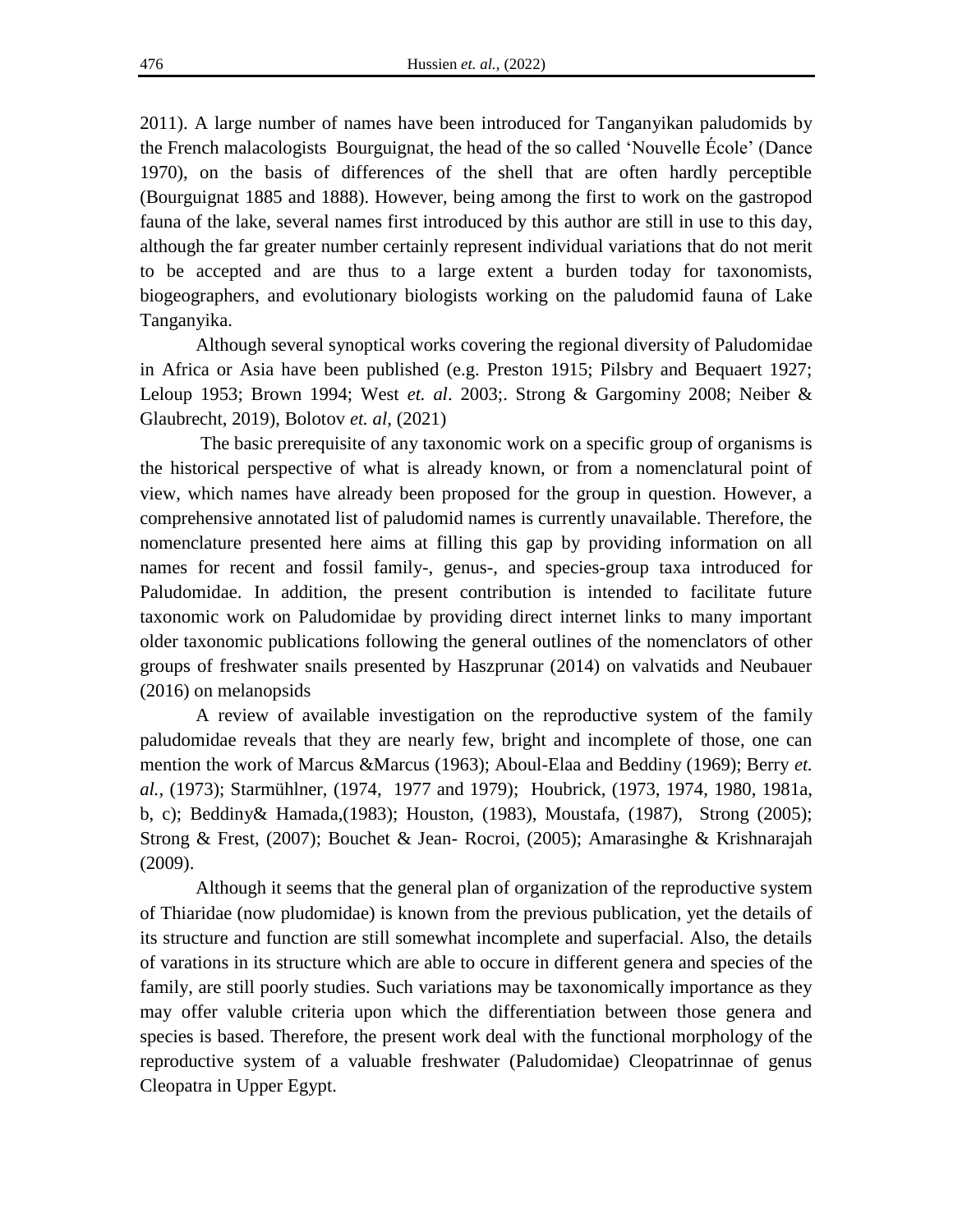2011). A large number of names have been introduced for Tanganyikan paludomids by the French malacologists Bourguignat, the head of the so called "Nouvelle École" (Dance 1970), on the basis of differences of the shell that are often hardly perceptible (Bourguignat 1885 and 1888). However, being among the first to work on the gastropod fauna of the lake, several names first introduced by this author are still in use to this day, although the far greater number certainly represent individual variations that do not merit to be accepted and are thus to a large extent a burden today for taxonomists, biogeographers, and evolutionary biologists working on the paludomid fauna of Lake Tanganyika.

Although several synoptical works covering the regional diversity of Paludomidae in Africa or Asia have been published (e.g. Preston 1915; Pilsbry and Bequaert 1927; Leloup 1953; Brown 1994; West *et. al*. 2003;. Strong & Gargominy 2008; Neiber & Glaubrecht, 2019), Bolotov *et. al,* (2021)

The basic prerequisite of any taxonomic work on a specific group of organisms is the historical perspective of what is already known, or from a nomenclatural point of view, which names have already been proposed for the group in question. However, a comprehensive annotated list of paludomid names is currently unavailable. Therefore, the nomenclature presented here aims at filling this gap by providing information on all names for recent and fossil family-, genus-, and species-group taxa introduced for Paludomidae. In addition, the present contribution is intended to facilitate future taxonomic work on Paludomidae by providing direct internet links to many important older taxonomic publications following the general outlines of the nomenclators of other groups of freshwater snails presented by Haszprunar (2014) on valvatids and Neubauer (2016) on melanopsids

A review of available investigation on the reproductive system of the family paludomidae reveals that they are nearly few, bright and incomplete of those, one can mention the work of Marcus &Marcus (1963); Aboul-Elaa and Beddiny (1969); Berry *et. al.,* (1973); Starmühlner, (1974, 1977 and 1979); Houbrick, (1973, 1974, 1980, 1981a, b, c); Beddiny& Hamada,(1983); Houston, (1983), Moustafa, (1987), Strong (2005); Strong & Frest, (2007); Bouchet & Jean- Rocroi, (2005); Amarasinghe & Krishnarajah (2009).

Although it seems that the general plan of organization of the reproductive system of Thiaridae (now pludomidae) is known from the previous publication, yet the details of its structure and function are still somewhat incomplete and superfacial. Also, the details of varations in its structure which are able to occure in different genera and species of the family, are still poorly studies. Such variations may be taxonomically importance as they may offer valuble criteria upon which the differentiation between those genera and species is based. Therefore, the present work deal with the functional morphology of the reproductive system of a valuable freshwater (Paludomidae) Cleopatrinnae of genus Cleopatra in Upper Egypt.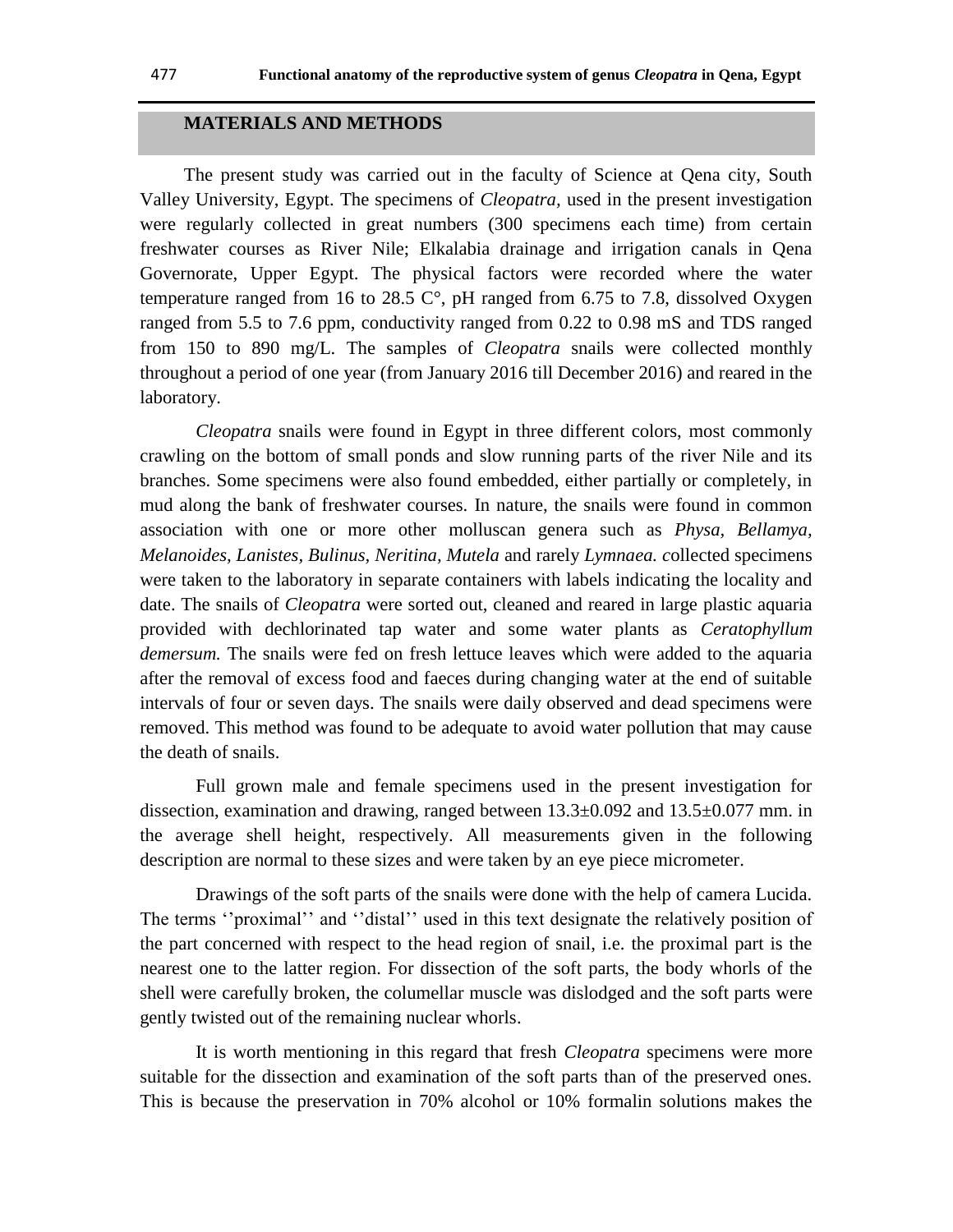# **MATERIALS AND METHODS**

The present study was carried out in the faculty of Science at Qena city, South Valley University, Egypt. The specimens of *Cleopatra,* used in the present investigation were regularly collected in great numbers (300 specimens each time) from certain freshwater courses as River Nile; Elkalabia drainage and irrigation canals in Qena Governorate, Upper Egypt. The physical factors were recorded where the water temperature ranged from 16 to 28.5  $\degree$ , pH ranged from 6.75 to 7.8, dissolved Oxygen ranged from 5.5 to 7.6 ppm, conductivity ranged from 0.22 to 0.98 mS and TDS ranged from 150 to 890 mg/L. The samples of *Cleopatra* snails were collected monthly throughout a period of one year (from January 2016 till December 2016) and reared in the laboratory.

*Cleopatra* snails were found in Egypt in three different colors, most commonly crawling on the bottom of small ponds and slow running parts of the river Nile and its branches. Some specimens were also found embedded, either partially or completely, in mud along the bank of freshwater courses. In nature, the snails were found in common association with one or more other molluscan genera such as *Physa, Bellamya, Melanoides, Lanistes, Bulinus, Neritina, Mutela* and rarely *Lymnaea. c*ollected specimens were taken to the laboratory in separate containers with labels indicating the locality and date. The snails of *Cleopatra* were sorted out, cleaned and reared in large plastic aquaria provided with dechlorinated tap water and some water plants as *Ceratophyllum demersum.* The snails were fed on fresh lettuce leaves which were added to the aquaria after the removal of excess food and faeces during changing water at the end of suitable intervals of four or seven days. The snails were daily observed and dead specimens were removed. This method was found to be adequate to avoid water pollution that may cause the death of snails.

Full grown male and female specimens used in the present investigation for dissection, examination and drawing, ranged between 13.3±0.092 and 13.5±0.077 mm. in the average shell height, respectively. All measurements given in the following description are normal to these sizes and were taken by an eye piece micrometer.

Drawings of the soft parts of the snails were done with the help of camera Lucida. The terms "proximal" and "distal" used in this text designate the relatively position of the part concerned with respect to the head region of snail, i.e. the proximal part is the nearest one to the latter region. For dissection of the soft parts, the body whorls of the shell were carefully broken, the columellar muscle was dislodged and the soft parts were gently twisted out of the remaining nuclear whorls.

It is worth mentioning in this regard that fresh *Cleopatra* specimens were more suitable for the dissection and examination of the soft parts than of the preserved ones. This is because the preservation in 70% alcohol or 10% formalin solutions makes the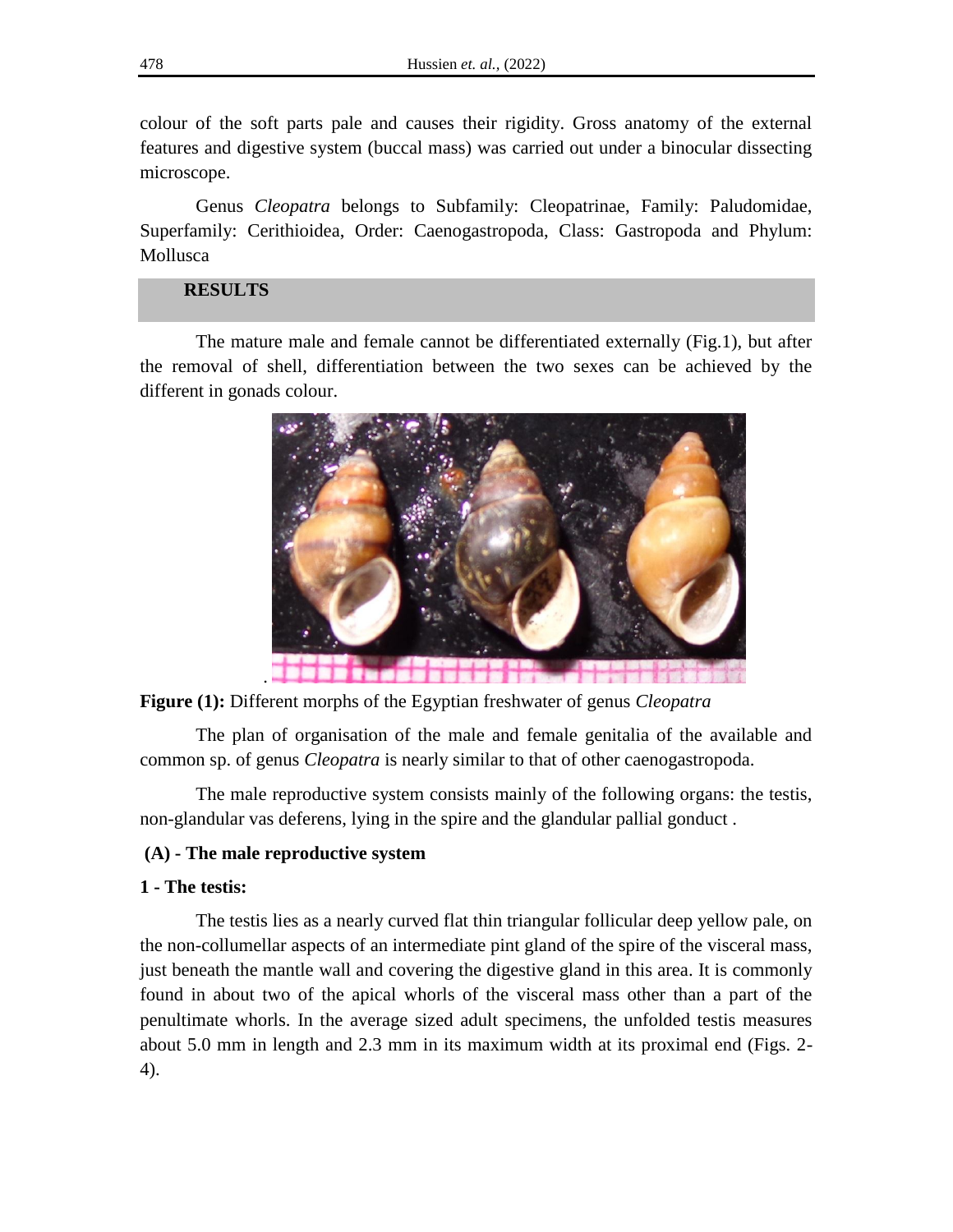colour of the soft parts pale and causes their rigidity. Gross anatomy of the external features and digestive system (buccal mass) was carried out under a binocular dissecting microscope.

Genus *Cleopatra* belongs to Subfamily: Cleopatrinae, Family: Paludomidae, Superfamily: Cerithioidea, Order: Caenogastropoda, Class: Gastropoda and Phylum: Mollusca

# **RESULTS**

The mature male and female cannot be differentiated externally (Fig.1), but after the removal of shell, differentiation between the two sexes can be achieved by the different in gonads colour.



**Figure (1):** Different morphs of the Egyptian freshwater of genus *Cleopatra*

The plan of organisation of the male and female genitalia of the available and common sp. of genus *Cleopatra* is nearly similar to that of other caenogastropoda.

The male reproductive system consists mainly of the following organs: the testis, non-glandular vas deferens, lying in the spire and the glandular pallial gonduct .

#### **(A) - The male reproductive system**

## **1 - The testis:**

The testis lies as a nearly curved flat thin triangular follicular deep yellow pale, on the non-collumellar aspects of an intermediate pint gland of the spire of the visceral mass, just beneath the mantle wall and covering the digestive gland in this area. It is commonly found in about two of the apical whorls of the visceral mass other than a part of the penultimate whorls. In the average sized adult specimens, the unfolded testis measures about 5.0 mm in length and 2.3 mm in its maximum width at its proximal end (Figs. 2- 4).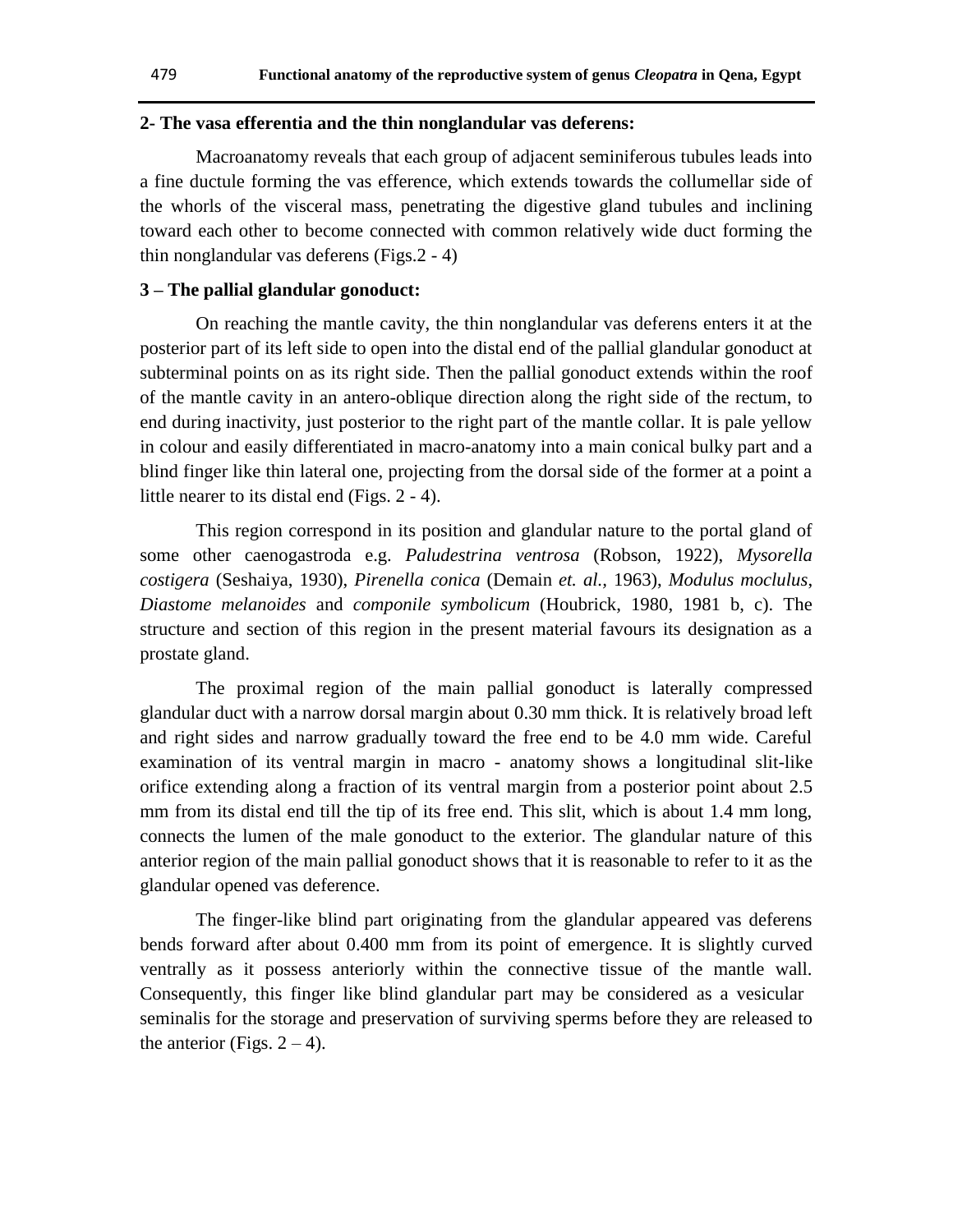#### **2- The vasa efferentia and the thin nonglandular vas deferens:**

Macroanatomy reveals that each group of adjacent seminiferous tubules leads into a fine ductule forming the vas efference, which extends towards the collumellar side of the whorls of the visceral mass, penetrating the digestive gland tubules and inclining toward each other to become connected with common relatively wide duct forming the thin nonglandular vas deferens (Figs.2 - 4)

#### **3 – The pallial glandular gonoduct:**

On reaching the mantle cavity, the thin nonglandular vas deferens enters it at the posterior part of its left side to open into the distal end of the pallial glandular gonoduct at subterminal points on as its right side. Then the pallial gonoduct extends within the roof of the mantle cavity in an antero-oblique direction along the right side of the rectum, to end during inactivity, just posterior to the right part of the mantle collar. It is pale yellow in colour and easily differentiated in macro-anatomy into a main conical bulky part and a blind finger like thin lateral one, projecting from the dorsal side of the former at a point a little nearer to its distal end (Figs. 2 - 4).

This region correspond in its position and glandular nature to the portal gland of some other caenogastroda e.g. *Paludestrina ventrosa* (Robson, 1922), *Mysorella costigera* (Seshaiya, 1930), *Pirenella conica* (Demain *et. al.,* 1963), *Modulus moclulus*, *Diastome melanoides* and *componile symbolicum* (Houbrick, 1980, 1981 b, c). The structure and section of this region in the present material favours its designation as a prostate gland.

The proximal region of the main pallial gonoduct is laterally compressed glandular duct with a narrow dorsal margin about 0.30 mm thick. It is relatively broad left and right sides and narrow gradually toward the free end to be 4.0 mm wide. Careful examination of its ventral margin in macro - anatomy shows a longitudinal slit-like orifice extending along a fraction of its ventral margin from a posterior point about 2.5 mm from its distal end till the tip of its free end. This slit, which is about 1.4 mm long, connects the lumen of the male gonoduct to the exterior. The glandular nature of this anterior region of the main pallial gonoduct shows that it is reasonable to refer to it as the glandular opened vas deference.

The finger-like blind part originating from the glandular appeared vas deferens bends forward after about 0.400 mm from its point of emergence. It is slightly curved ventrally as it possess anteriorly within the connective tissue of the mantle wall. Consequently, this finger like blind glandular part may be considered as a vesicular seminalis for the storage and preservation of surviving sperms before they are released to the anterior (Figs.  $2 - 4$ ).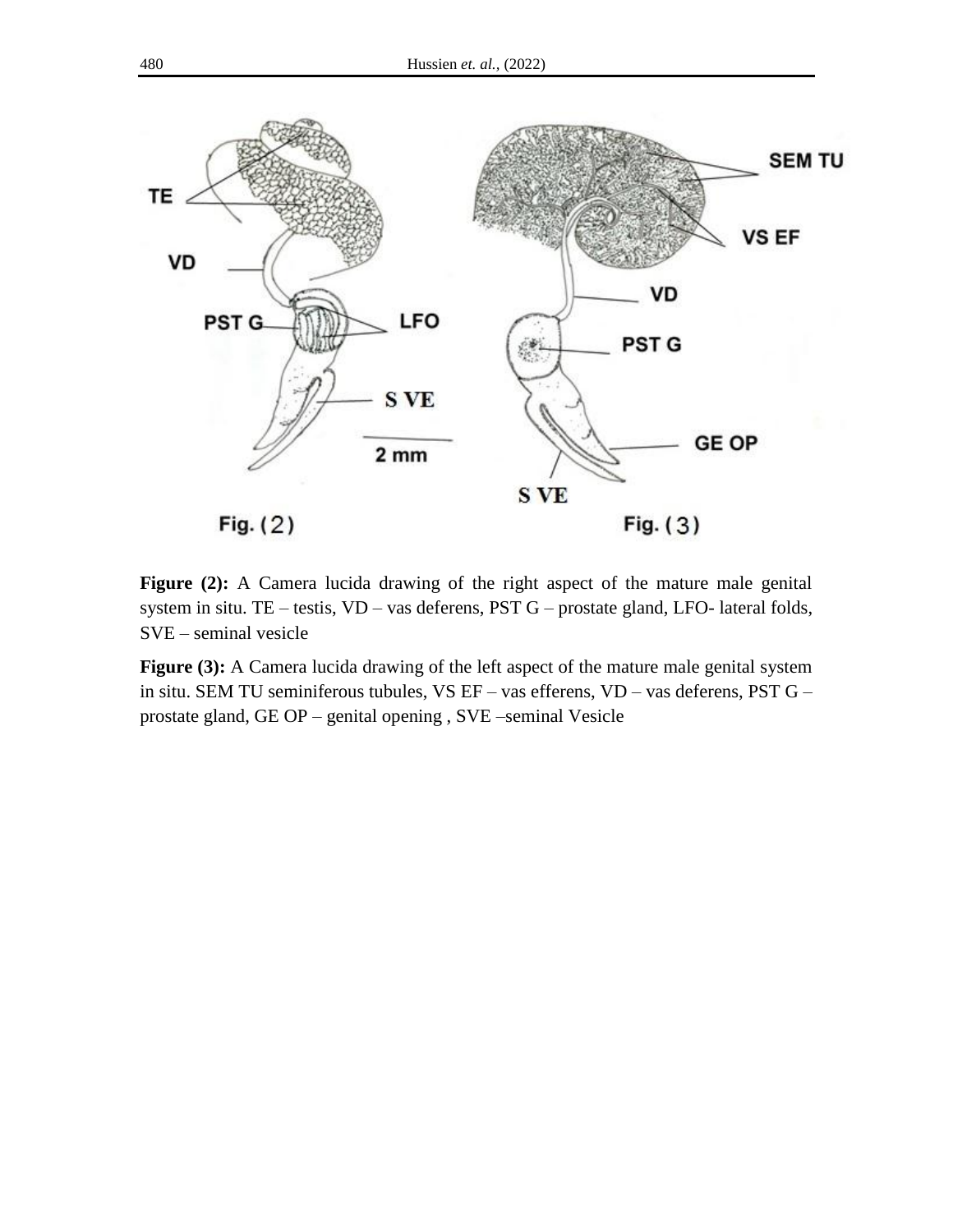

**Figure (2):** A Camera lucida drawing of the right aspect of the mature male genital system in situ. TE – testis, VD – vas deferens, PST G – prostate gland, LFO- lateral folds, SVE – seminal vesicle

**Figure (3):** A Camera lucida drawing of the left aspect of the mature male genital system in situ. SEM TU seminiferous tubules, VS EF – vas efferens, VD – vas deferens, PST G – prostate gland, GE OP – genital opening , SVE –seminal Vesicle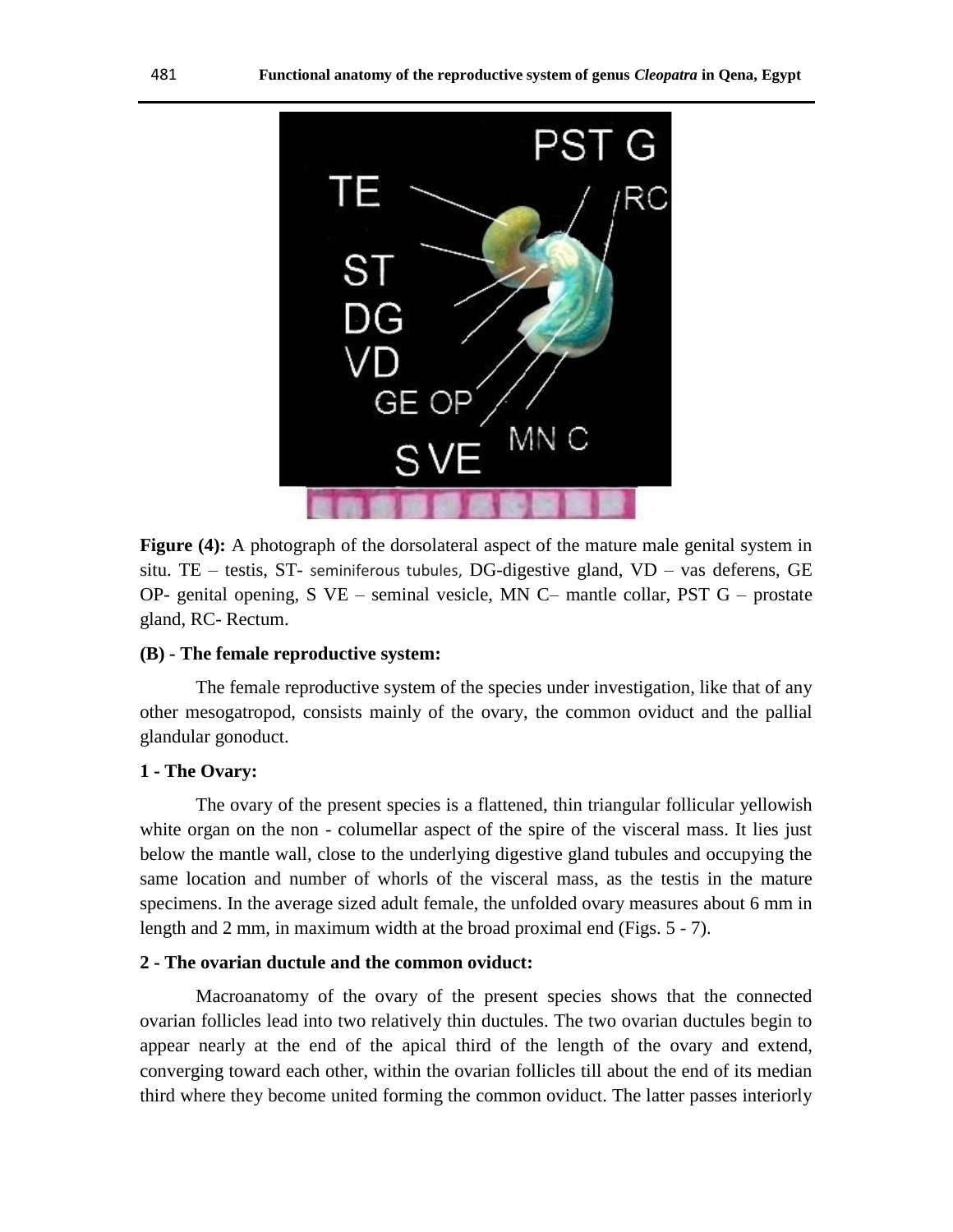

**Figure (4):** A photograph of the dorsolateral aspect of the mature male genital system in situ. TE – testis, ST- seminiferous tubules, DG-digestive gland, VD – vas deferens, GE OP- genital opening, S  $VE$  – seminal vesicle, MN C– mantle collar, PST  $G$  – prostate gland, RC- Rectum.

## **(B) - The female reproductive system:**

The female reproductive system of the species under investigation, like that of any other mesogatropod, consists mainly of the ovary, the common oviduct and the pallial glandular gonoduct.

## **1 - The Ovary:**

The ovary of the present species is a flattened, thin triangular follicular yellowish white organ on the non - columellar aspect of the spire of the visceral mass. It lies just below the mantle wall, close to the underlying digestive gland tubules and occupying the same location and number of whorls of the visceral mass, as the testis in the mature specimens. In the average sized adult female, the unfolded ovary measures about 6 mm in length and 2 mm, in maximum width at the broad proximal end (Figs. 5 - 7).

#### **2 - The ovarian ductule and the common oviduct:**

Macroanatomy of the ovary of the present species shows that the connected ovarian follicles lead into two relatively thin ductules. The two ovarian ductules begin to appear nearly at the end of the apical third of the length of the ovary and extend, converging toward each other, within the ovarian follicles till about the end of its median third where they become united forming the common oviduct. The latter passes interiorly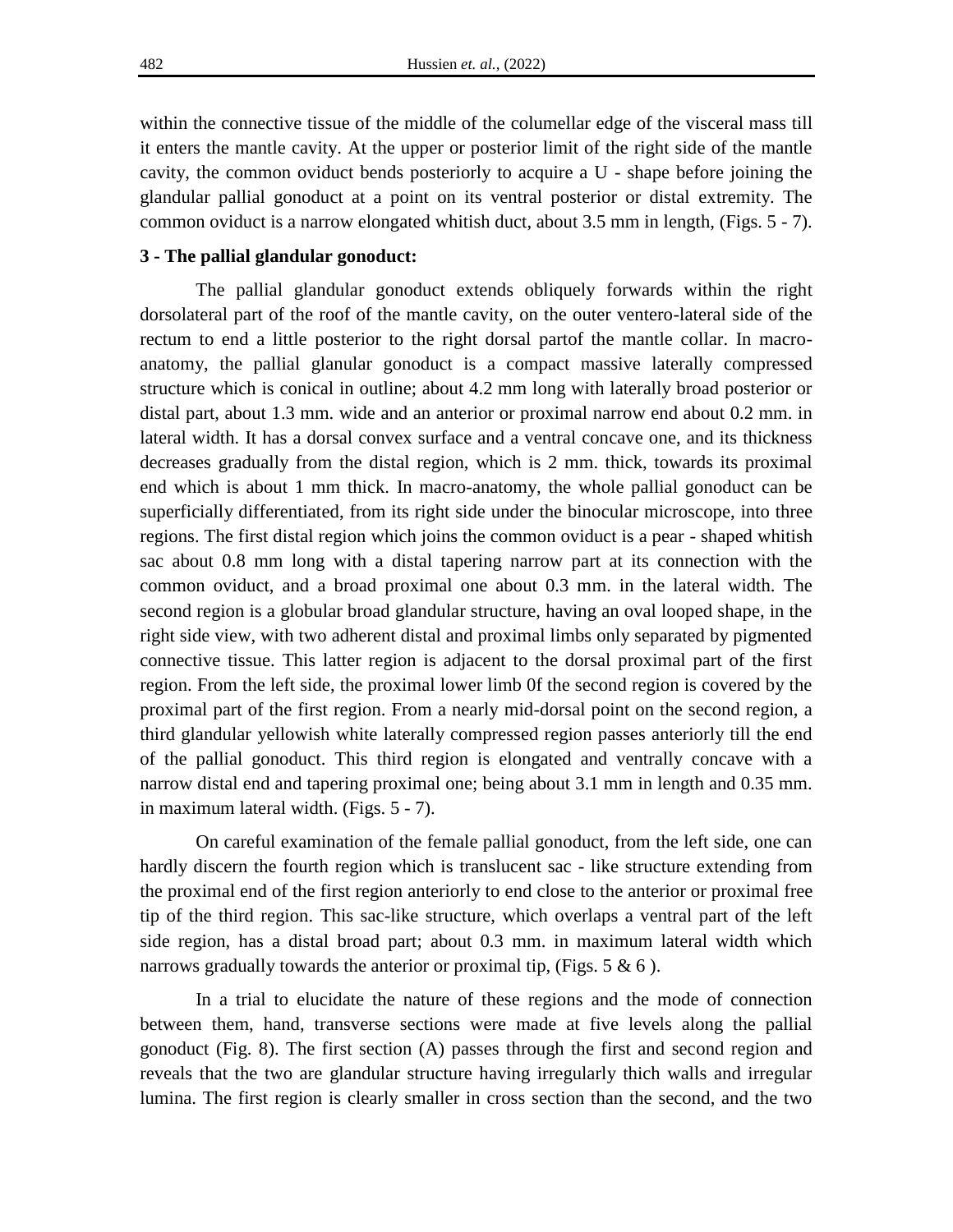within the connective tissue of the middle of the columellar edge of the visceral mass till it enters the mantle cavity. At the upper or posterior limit of the right side of the mantle cavity, the common oviduct bends posteriorly to acquire a U - shape before joining the glandular pallial gonoduct at a point on its ventral posterior or distal extremity. The common oviduct is a narrow elongated whitish duct, about 3.5 mm in length, (Figs. 5 - 7).

## **3 - The pallial glandular gonoduct:**

The pallial glandular gonoduct extends obliquely forwards within the right dorsolateral part of the roof of the mantle cavity, on the outer ventero-lateral side of the rectum to end a little posterior to the right dorsal partof the mantle collar. In macroanatomy, the pallial glanular gonoduct is a compact massive laterally compressed structure which is conical in outline; about 4.2 mm long with laterally broad posterior or distal part, about 1.3 mm. wide and an anterior or proximal narrow end about 0.2 mm. in lateral width. It has a dorsal convex surface and a ventral concave one, and its thickness decreases gradually from the distal region, which is 2 mm. thick, towards its proximal end which is about 1 mm thick. In macro-anatomy, the whole pallial gonoduct can be superficially differentiated, from its right side under the binocular microscope, into three regions. The first distal region which joins the common oviduct is a pear - shaped whitish sac about 0.8 mm long with a distal tapering narrow part at its connection with the common oviduct, and a broad proximal one about 0.3 mm. in the lateral width. The second region is a globular broad glandular structure, having an oval looped shape, in the right side view, with two adherent distal and proximal limbs only separated by pigmented connective tissue. This latter region is adjacent to the dorsal proximal part of the first region. From the left side, the proximal lower limb 0f the second region is covered by the proximal part of the first region. From a nearly mid-dorsal point on the second region, a third glandular yellowish white laterally compressed region passes anteriorly till the end of the pallial gonoduct. This third region is elongated and ventrally concave with a narrow distal end and tapering proximal one; being about 3.1 mm in length and 0.35 mm. in maximum lateral width. (Figs. 5 - 7).

On careful examination of the female pallial gonoduct, from the left side, one can hardly discern the fourth region which is translucent sac - like structure extending from the proximal end of the first region anteriorly to end close to the anterior or proximal free tip of the third region. This sac-like structure, which overlaps a ventral part of the left side region, has a distal broad part; about 0.3 mm. in maximum lateral width which narrows gradually towards the anterior or proximal tip, (Figs.  $5 \& 6$ ).

In a trial to elucidate the nature of these regions and the mode of connection between them, hand, transverse sections were made at five levels along the pallial gonoduct (Fig. 8). The first section (A) passes through the first and second region and reveals that the two are glandular structure having irregularly thich walls and irregular lumina. The first region is clearly smaller in cross section than the second, and the two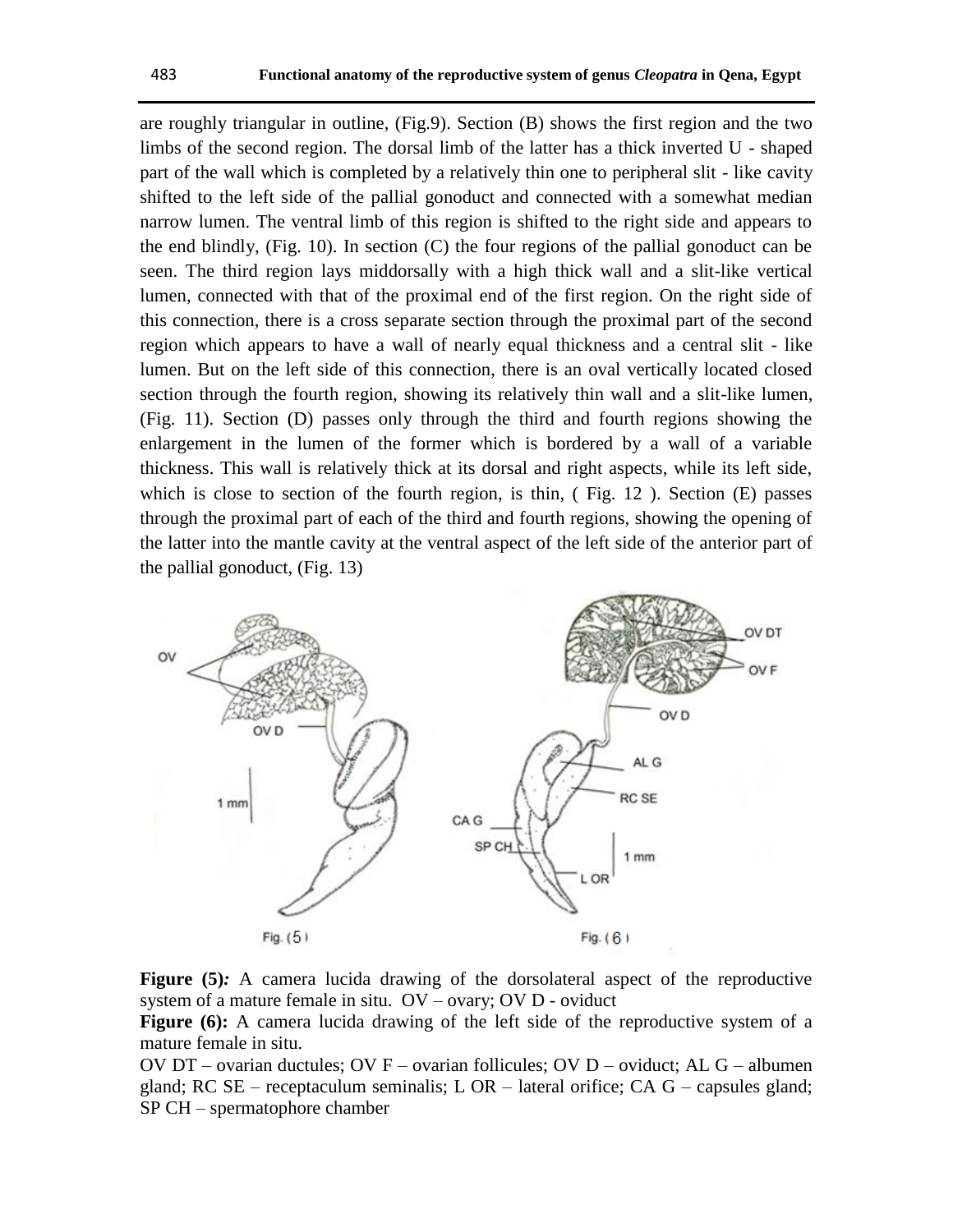are roughly triangular in outline, (Fig.9). Section (B) shows the first region and the two limbs of the second region. The dorsal limb of the latter has a thick inverted U - shaped part of the wall which is completed by a relatively thin one to peripheral slit - like cavity shifted to the left side of the pallial gonoduct and connected with a somewhat median narrow lumen. The ventral limb of this region is shifted to the right side and appears to the end blindly, (Fig. 10). In section (C) the four regions of the pallial gonoduct can be seen. The third region lays middorsally with a high thick wall and a slit-like vertical lumen, connected with that of the proximal end of the first region. On the right side of this connection, there is a cross separate section through the proximal part of the second region which appears to have a wall of nearly equal thickness and a central slit - like lumen. But on the left side of this connection, there is an oval vertically located closed section through the fourth region, showing its relatively thin wall and a slit-like lumen, (Fig. 11). Section (D) passes only through the third and fourth regions showing the enlargement in the lumen of the former which is bordered by a wall of a variable thickness. This wall is relatively thick at its dorsal and right aspects, while its left side, which is close to section of the fourth region, is thin, ( Fig. 12 ). Section (E) passes through the proximal part of each of the third and fourth regions, showing the opening of the latter into the mantle cavity at the ventral aspect of the left side of the anterior part of the pallial gonoduct, (Fig. 13)



**Figure (5)***:* A camera lucida drawing of the dorsolateral aspect of the reproductive system of a mature female in situ. OV – ovary; OV D - oviduct

Figure (6): A camera lucida drawing of the left side of the reproductive system of a mature female in situ.

OV DT – ovarian ductules; OV F – ovarian follicules; OV D – oviduct; AL G – albumen gland; RC SE – receptaculum seminalis; L OR – lateral orifice; CA G – capsules gland; SP CH – spermatophore chamber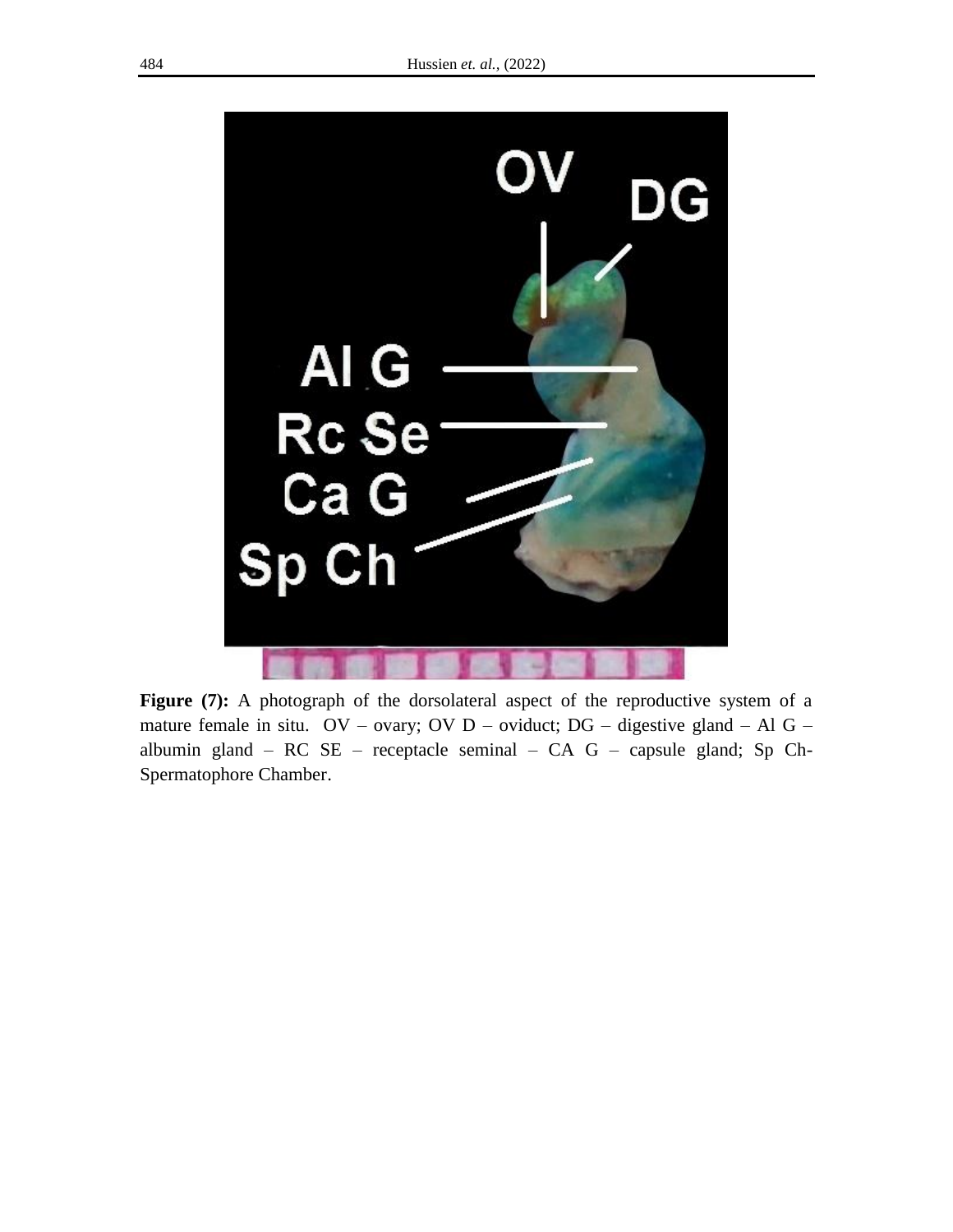

**Figure** (7): A photograph of the dorsolateral aspect of the reproductive system of a mature female in situ. OV – ovary; OV D – oviduct; DG – digestive gland – Al G – albumin gland – RC SE – receptacle seminal – CA G – capsule gland; Sp Ch-Spermatophore Chamber.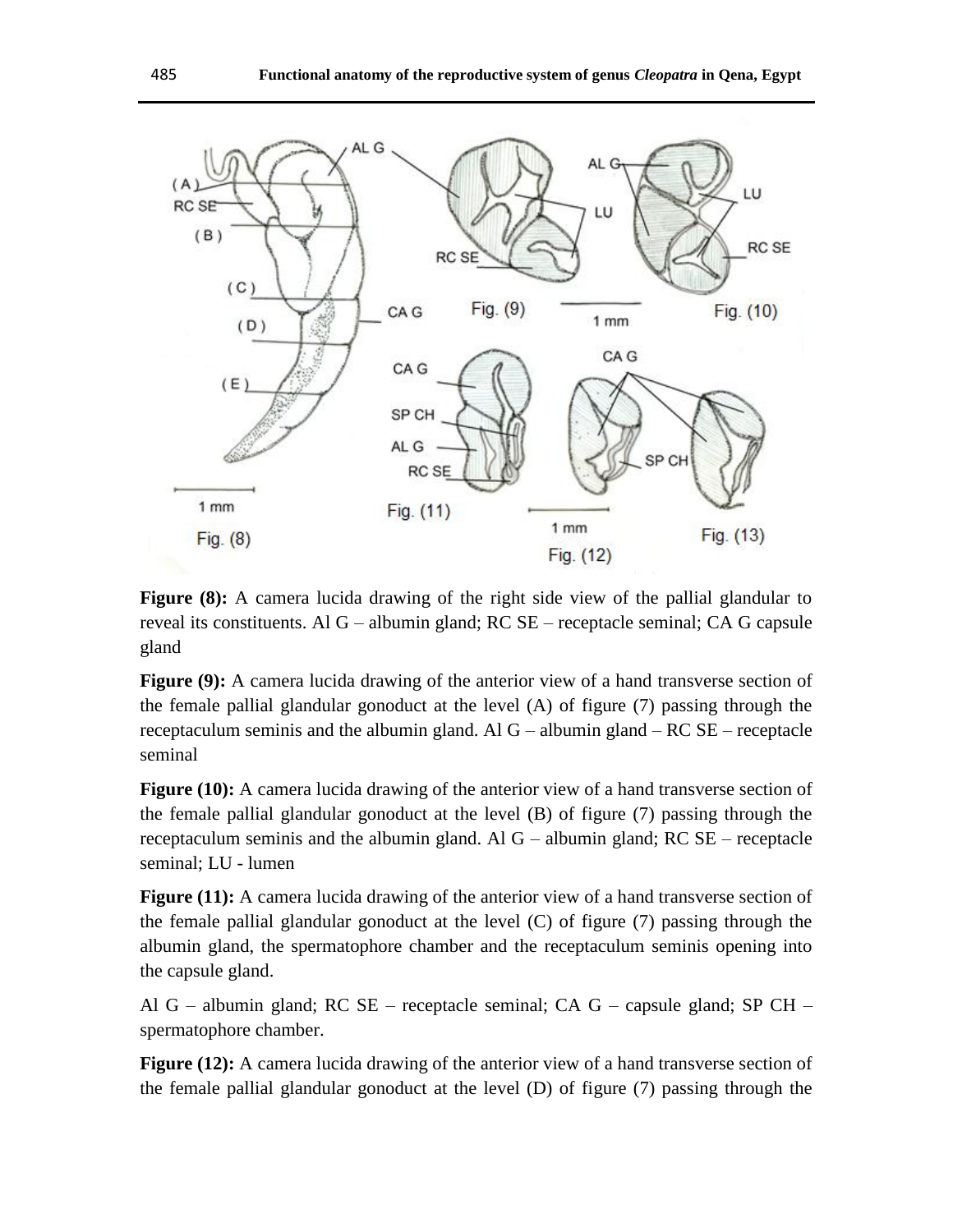

**Figure (8):** A camera lucida drawing of the right side view of the pallial glandular to reveal its constituents. Al G – albumin gland; RC SE – receptacle seminal; CA G capsule gland

**Figure (9):** A camera lucida drawing of the anterior view of a hand transverse section of the female pallial glandular gonoduct at the level (A) of figure (7) passing through the receptaculum seminis and the albumin gland. Al G – albumin gland – RC SE – receptacle seminal

**Figure (10):** A camera lucida drawing of the anterior view of a hand transverse section of the female pallial glandular gonoduct at the level (B) of figure (7) passing through the receptaculum seminis and the albumin gland. Al G – albumin gland; RC SE – receptacle seminal; LU - lumen

Figure (11): A camera lucida drawing of the anterior view of a hand transverse section of the female pallial glandular gonoduct at the level (C) of figure (7) passing through the albumin gland, the spermatophore chamber and the receptaculum seminis opening into the capsule gland.

Al G – albumin gland; RC SE – receptacle seminal; CA G – capsule gland; SP CH – spermatophore chamber.

**Figure (12):** A camera lucida drawing of the anterior view of a hand transverse section of the female pallial glandular gonoduct at the level (D) of figure (7) passing through the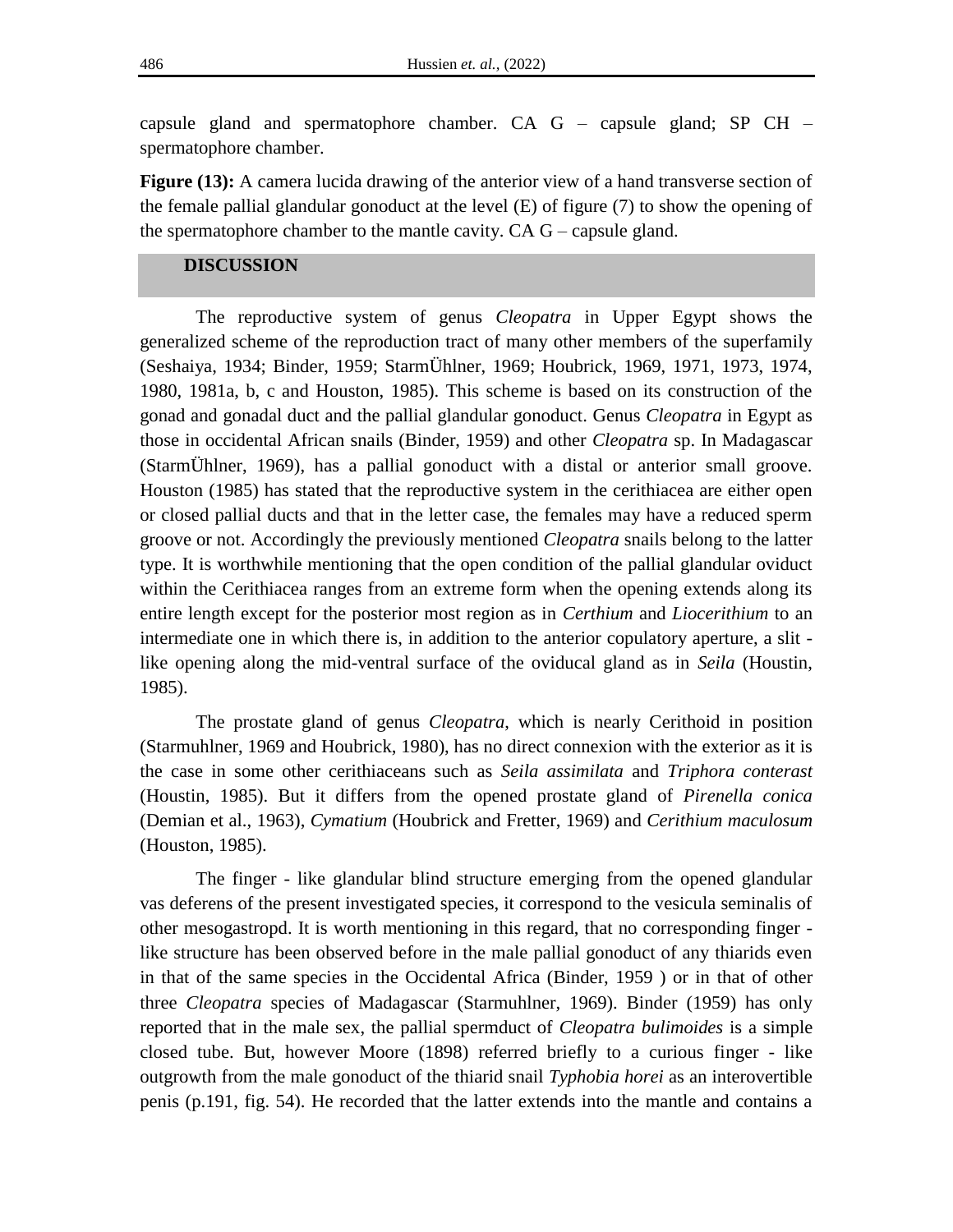capsule gland and spermatophore chamber. CA G – capsule gland; SP CH – spermatophore chamber.

**Figure (13):** A camera lucida drawing of the anterior view of a hand transverse section of the female pallial glandular gonoduct at the level (E) of figure (7) to show the opening of the spermatophore chamber to the mantle cavity. CA G – capsule gland.

## **DISCUSSION**

The reproductive system of genus *Cleopatra* in Upper Egypt shows the generalized scheme of the reproduction tract of many other members of the superfamily (Seshaiya, 1934; Binder, 1959; StarmÜhlner, 1969; Houbrick, 1969, 1971, 1973, 1974, 1980, 1981a, b, c and Houston, 1985). This scheme is based on its construction of the gonad and gonadal duct and the pallial glandular gonoduct. Genus *Cleopatra* in Egypt as those in occidental African snails (Binder, 1959) and other *Cleopatra* sp. In Madagascar (StarmÜhlner, 1969), has a pallial gonoduct with a distal or anterior small groove. Houston (1985) has stated that the reproductive system in the cerithiacea are either open or closed pallial ducts and that in the letter case, the females may have a reduced sperm groove or not. Accordingly the previously mentioned *Cleopatra* snails belong to the latter type. It is worthwhile mentioning that the open condition of the pallial glandular oviduct within the Cerithiacea ranges from an extreme form when the opening extends along its entire length except for the posterior most region as in *Certhium* and *Liocerithium* to an intermediate one in which there is, in addition to the anterior copulatory aperture, a slit like opening along the mid-ventral surface of the oviducal gland as in *Seila* (Houstin, 1985).

The prostate gland of genus *Cleopatra*, which is nearly Cerithoid in position (Starmuhlner, 1969 and Houbrick, 1980), has no direct connexion with the exterior as it is the case in some other cerithiaceans such as *Seila assimilata* and *Triphora conterast* (Houstin, 1985). But it differs from the opened prostate gland of *Pirenella conica* (Demian et al., 1963), *Cymatium* (Houbrick and Fretter, 1969) and *Cerithium maculosum* (Houston, 1985).

The finger - like glandular blind structure emerging from the opened glandular vas deferens of the present investigated species, it correspond to the vesicula seminalis of other mesogastropd. It is worth mentioning in this regard, that no corresponding finger like structure has been observed before in the male pallial gonoduct of any thiarids even in that of the same species in the Occidental Africa (Binder, 1959 ) or in that of other three *Cleopatra* species of Madagascar (Starmuhlner, 1969). Binder (1959) has only reported that in the male sex, the pallial spermduct of *Cleopatra bulimoides* is a simple closed tube. But, however Moore (1898) referred briefly to a curious finger - like outgrowth from the male gonoduct of the thiarid snail *Typhobia horei* as an interovertible penis (p.191, fig. 54). He recorded that the latter extends into the mantle and contains a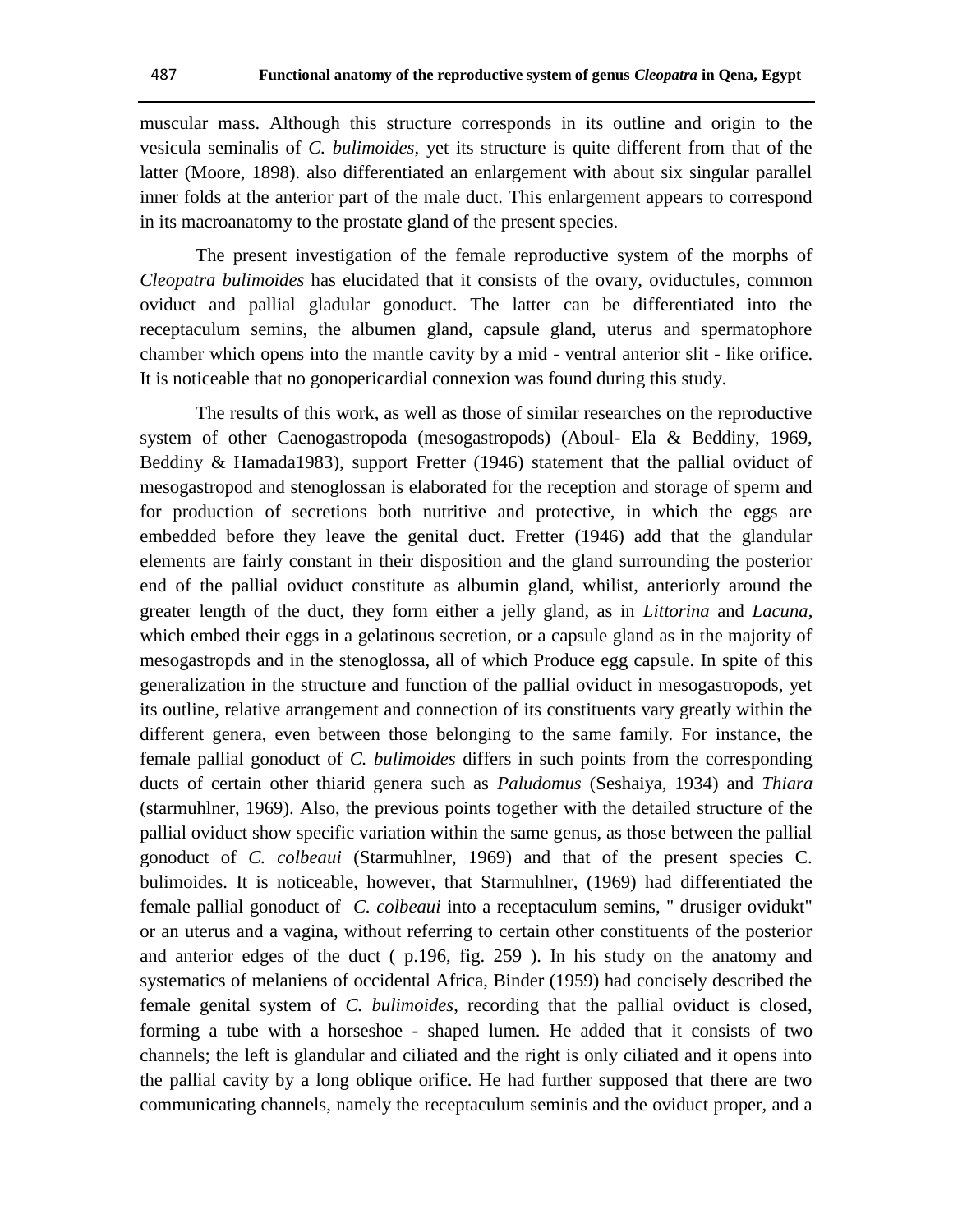muscular mass. Although this structure corresponds in its outline and origin to the vesicula seminalis of *C. bulimoides*, yet its structure is quite different from that of the latter (Moore, 1898). also differentiated an enlargement with about six singular parallel inner folds at the anterior part of the male duct. This enlargement appears to correspond in its macroanatomy to the prostate gland of the present species.

The present investigation of the female reproductive system of the morphs of *Cleopatra bulimoides* has elucidated that it consists of the ovary, oviductules, common oviduct and pallial gladular gonoduct. The latter can be differentiated into the receptaculum semins, the albumen gland, capsule gland, uterus and spermatophore chamber which opens into the mantle cavity by a mid - ventral anterior slit - like orifice. It is noticeable that no gonopericardial connexion was found during this study.

The results of this work, as well as those of similar researches on the reproductive system of other Caenogastropoda (mesogastropods) (Aboul- Ela & Beddiny, 1969, Beddiny & Hamada1983), support Fretter (1946) statement that the pallial oviduct of mesogastropod and stenoglossan is elaborated for the reception and storage of sperm and for production of secretions both nutritive and protective, in which the eggs are embedded before they leave the genital duct. Fretter (1946) add that the glandular elements are fairly constant in their disposition and the gland surrounding the posterior end of the pallial oviduct constitute as albumin gland, whilist, anteriorly around the greater length of the duct, they form either a jelly gland, as in *Littorina* and *Lacuna*, which embed their eggs in a gelatinous secretion, or a capsule gland as in the majority of mesogastropds and in the stenoglossa, all of which Produce egg capsule. In spite of this generalization in the structure and function of the pallial oviduct in mesogastropods, yet its outline, relative arrangement and connection of its constituents vary greatly within the different genera, even between those belonging to the same family. For instance, the female pallial gonoduct of *C. bulimoides* differs in such points from the corresponding ducts of certain other thiarid genera such as *Paludomus* (Seshaiya, 1934) and *Thiara* (starmuhlner, 1969). Also, the previous points together with the detailed structure of the pallial oviduct show specific variation within the same genus, as those between the pallial gonoduct of *C. colbeaui* (Starmuhlner, 1969) and that of the present species C. bulimoides. It is noticeable, however, that Starmuhlner, (1969) had differentiated the female pallial gonoduct of *C. colbeaui* into a receptaculum semins, " drusiger ovidukt" or an uterus and a vagina, without referring to certain other constituents of the posterior and anterior edges of the duct ( p.196, fig. 259 ). In his study on the anatomy and systematics of melaniens of occidental Africa, Binder (1959) had concisely described the female genital system of *C. bulimoides*, recording that the pallial oviduct is closed, forming a tube with a horseshoe - shaped lumen. He added that it consists of two channels; the left is glandular and ciliated and the right is only ciliated and it opens into the pallial cavity by a long oblique orifice. He had further supposed that there are two communicating channels, namely the receptaculum seminis and the oviduct proper, and a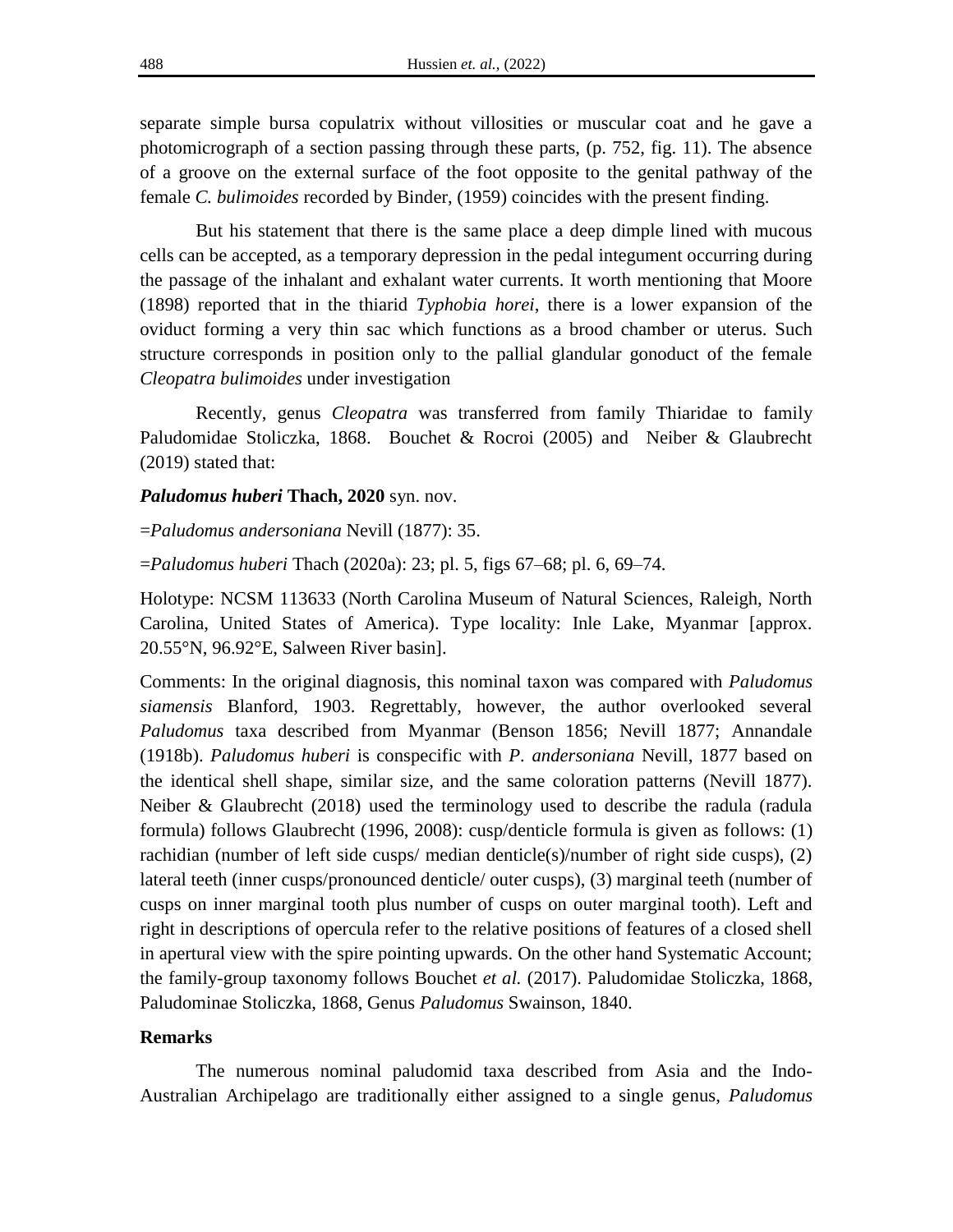separate simple bursa copulatrix without villosities or muscular coat and he gave a photomicrograph of a section passing through these parts, (p. 752, fig. 11). The absence of a groove on the external surface of the foot opposite to the genital pathway of the female *C. bulimoides* recorded by Binder, (1959) coincides with the present finding.

But his statement that there is the same place a deep dimple lined with mucous cells can be accepted, as a temporary depression in the pedal integument occurring during the passage of the inhalant and exhalant water currents. It worth mentioning that Moore (1898) reported that in the thiarid *Typhobia horei*, there is a lower expansion of the oviduct forming a very thin sac which functions as a brood chamber or uterus. Such structure corresponds in position only to the pallial glandular gonoduct of the female *Cleopatra bulimoides* under investigation

Recently, genus *Cleopatra* was transferred from family Thiaridae to family Paludomidae Stoliczka, 1868. Bouchet & Rocroi (2005) and Neiber & Glaubrecht (2019) stated that:

#### *Paludomus huberi* **Thach, 2020** syn. nov.

=*Paludomus andersoniana* Nevill (1877): 35.

=*Paludomus huberi* Thach (2020a): 23; pl. 5, figs 67–68; pl. 6, 69–74.

Holotype: NCSM 113633 (North Carolina Museum of Natural Sciences, Raleigh, North Carolina, United States of America). Type locality: Inle Lake, Myanmar [approx. 20.55°N, 96.92°E, Salween River basin].

Comments: In the original diagnosis, this nominal taxon was compared with *Paludomus siamensis* Blanford, 1903. Regrettably, however, the author overlooked several *Paludomus* taxa described from Myanmar (Benson 1856; Nevill 1877; Annandale (1918b). *Paludomus huberi* is conspecific with *P. andersoniana* Nevill, 1877 based on the identical shell shape, similar size, and the same coloration patterns (Nevill 1877). Neiber & Glaubrecht (2018) used the terminology used to describe the radula (radula formula) follows Glaubrecht (1996, 2008): cusp/denticle formula is given as follows: (1) rachidian (number of left side cusps/ median denticle(s)/number of right side cusps), (2) lateral teeth (inner cusps/pronounced denticle/ outer cusps), (3) marginal teeth (number of cusps on inner marginal tooth plus number of cusps on outer marginal tooth). Left and right in descriptions of opercula refer to the relative positions of features of a closed shell in apertural view with the spire pointing upwards. On the other hand Systematic Account; the family-group taxonomy follows Bouchet *et al.* (2017). Paludomidae Stoliczka, 1868, Paludominae Stoliczka, 1868, Genus *Paludomus* Swainson, 1840.

## **Remarks**

The numerous nominal paludomid taxa described from Asia and the Indo-Australian Archipelago are traditionally either assigned to a single genus, *Paludomus*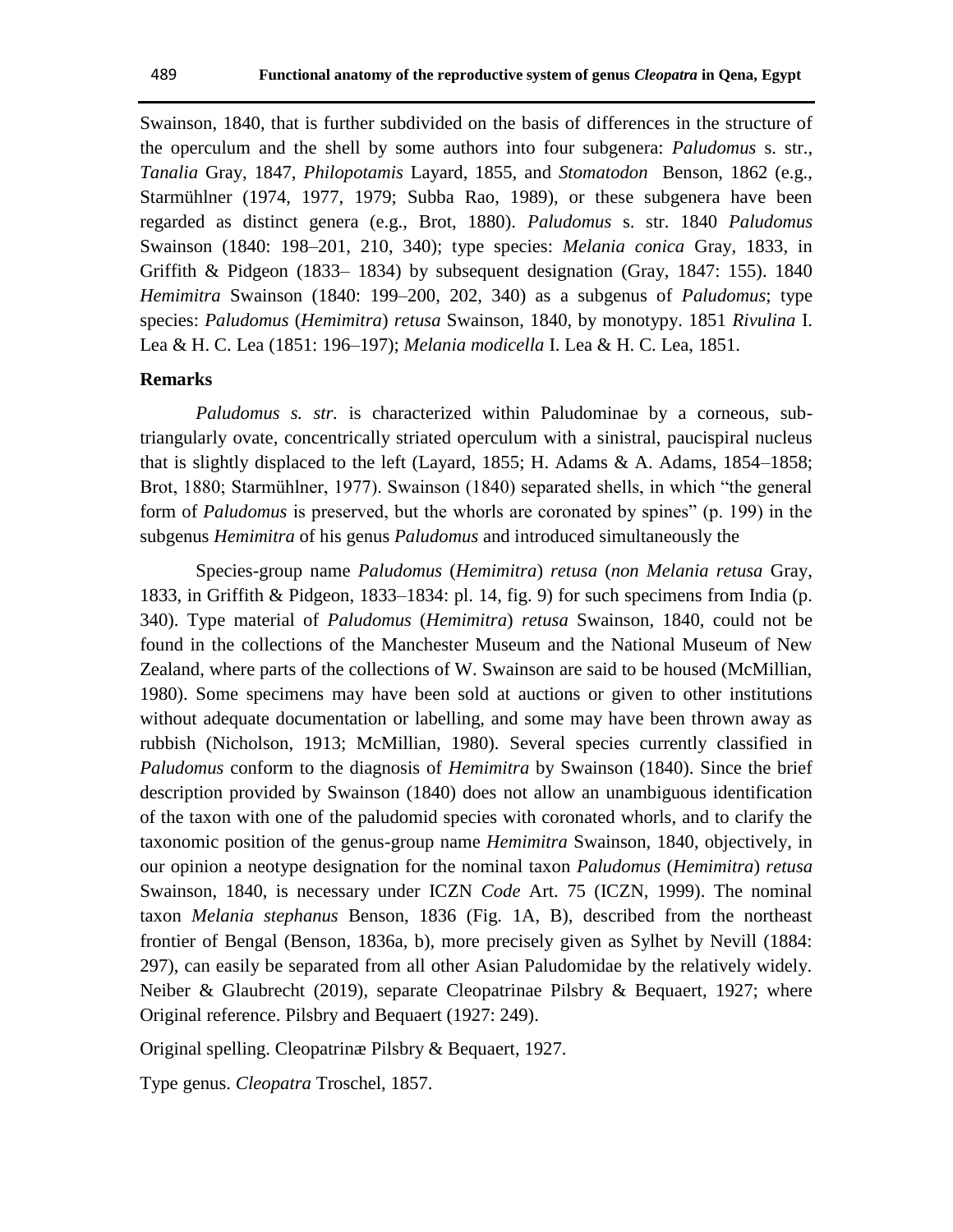Swainson, 1840, that is further subdivided on the basis of differences in the structure of the operculum and the shell by some authors into four subgenera: *Paludomus* s. str., *Tanalia* Gray, 1847, *Philopotamis* Layard, 1855, and *Stomatodon* Benson, 1862 (e.g., Starmühlner (1974, 1977, 1979; Subba Rao, 1989), or these subgenera have been regarded as distinct genera (e.g., Brot, 1880). *Paludomus* s. str. 1840 *Paludomus*  Swainson (1840: 198–201, 210, 340); type species: *Melania conica* Gray, 1833, in Griffith & Pidgeon  $(1833-1834)$  by subsequent designation  $(Gray, 1847: 155)$ . 1840 *Hemimitra* Swainson (1840: 199–200, 202, 340) as a subgenus of *Paludomus*; type species: *Paludomus* (*Hemimitra*) *retusa* Swainson, 1840, by monotypy. 1851 *Rivulina* I. Lea & H. C. Lea (1851: 196–197); *Melania modicella* I. Lea & H. C. Lea, 1851.

#### **Remarks**

*Paludomus s. str.* is characterized within Paludominae by a corneous, subtriangularly ovate, concentrically striated operculum with a sinistral, paucispiral nucleus that is slightly displaced to the left (Layard, 1855; H. Adams & A. Adams, 1854–1858; Brot, 1880; Starmühlner, 1977). Swainson (1840) separated shells, in which "the general form of *Paludomus* is preserved, but the whorls are coronated by spines" (p. 199) in the subgenus *Hemimitra* of his genus *Paludomus* and introduced simultaneously the

Species-group name *Paludomus* (*Hemimitra*) *retusa* (*non Melania retusa* Gray, 1833, in Griffith & Pidgeon, 1833–1834: pl. 14, fig. 9) for such specimens from India (p. 340). Type material of *Paludomus* (*Hemimitra*) *retusa* Swainson, 1840, could not be found in the collections of the Manchester Museum and the National Museum of New Zealand, where parts of the collections of W. Swainson are said to be housed (McMillian, 1980). Some specimens may have been sold at auctions or given to other institutions without adequate documentation or labelling, and some may have been thrown away as rubbish (Nicholson, 1913; McMillian, 1980). Several species currently classified in *Paludomus* conform to the diagnosis of *Hemimitra* by Swainson (1840). Since the brief description provided by Swainson (1840) does not allow an unambiguous identification of the taxon with one of the paludomid species with coronated whorls, and to clarify the taxonomic position of the genus-group name *Hemimitra* Swainson, 1840, objectively, in our opinion a neotype designation for the nominal taxon *Paludomus* (*Hemimitra*) *retusa*  Swainson, 1840, is necessary under ICZN *Code* Art. 75 (ICZN, 1999). The nominal taxon *Melania stephanus* Benson, 1836 (Fig. 1A, B), described from the northeast frontier of Bengal (Benson, 1836a, b), more precisely given as Sylhet by Nevill (1884: 297), can easily be separated from all other Asian Paludomidae by the relatively widely. Neiber & Glaubrecht (2019), separate Cleopatrinae Pilsbry & Bequaert, 1927; where Original reference. Pilsbry and Bequaert (1927: 249).

Original spelling. Cleopatrinæ Pilsbry & Bequaert, 1927.

Type genus. *Cleopatra* Troschel, 1857.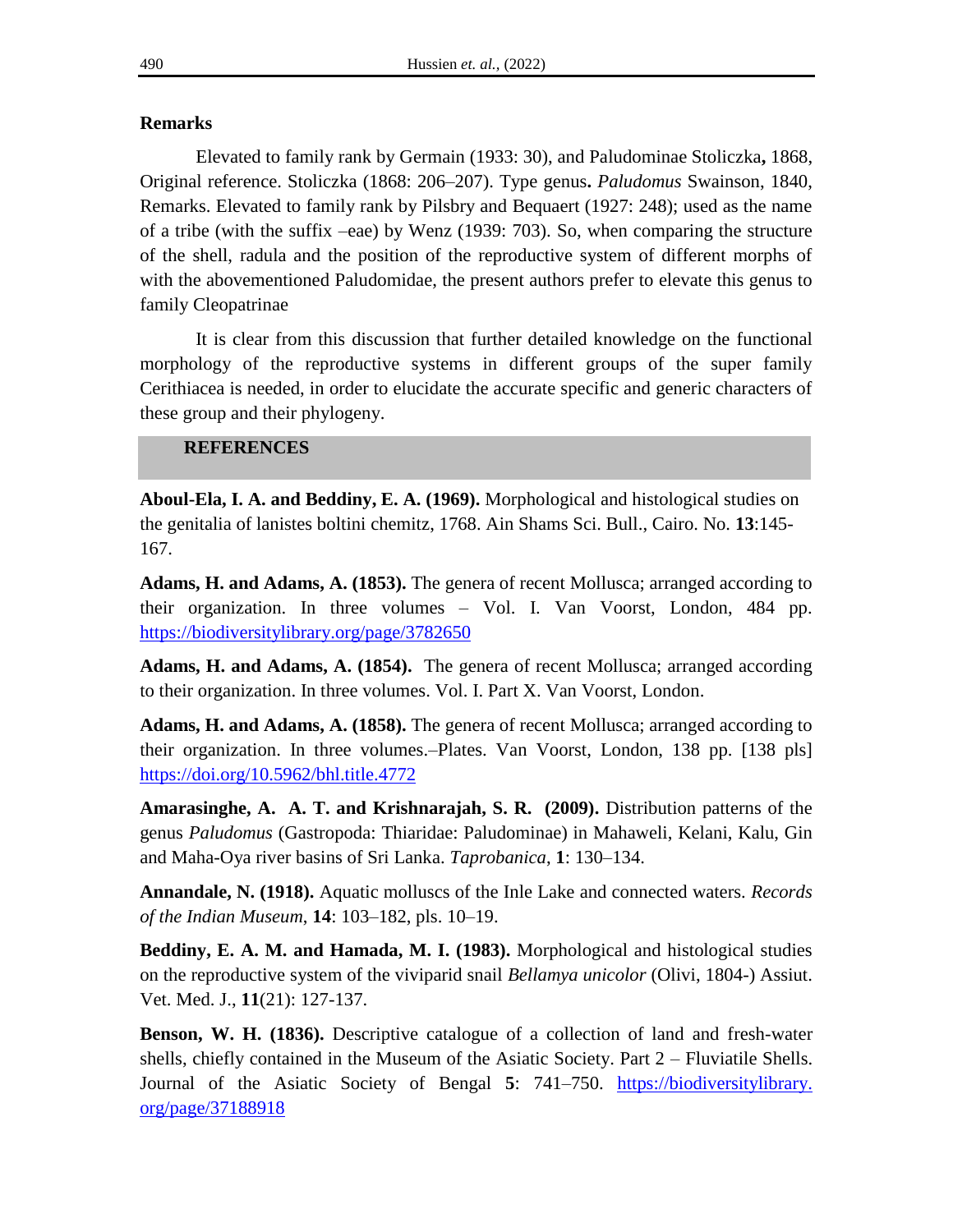# **Remarks**

Elevated to family rank by Germain (1933: 30), and Paludominae Stoliczka**,** 1868, Original reference. Stoliczka (1868: 206–207). Type genus**.** *Paludomus* Swainson, 1840, Remarks. Elevated to family rank by Pilsbry and Bequaert (1927: 248); used as the name of a tribe (with the suffix –eae) by Wenz (1939: 703). So, when comparing the structure of the shell, radula and the position of the reproductive system of different morphs of with the abovementioned Paludomidae, the present authors prefer to elevate this genus to family Cleopatrinae

It is clear from this discussion that further detailed knowledge on the functional morphology of the reproductive systems in different groups of the super family Cerithiacea is needed, in order to elucidate the accurate specific and generic characters of these group and their phylogeny.

# **REFERENCES**

**Aboul-Ela, I. A. and Beddiny, E. A. (1969).** Morphological and histological studies on the genitalia of lanistes boltini chemitz, 1768. Ain Shams Sci. Bull., Cairo. No. **13**:145- 167.

**Adams, H. and Adams, A. (1853).** The genera of recent Mollusca; arranged according to their organization. In three volumes – Vol. I. Van Voorst, London, 484 pp. <https://biodiversitylibrary.org/page/3782650>

**Adams, H. and Adams, A. (1854).** The genera of recent Mollusca; arranged according to their organization. In three volumes. Vol. I. Part X. Van Voorst, London.

**Adams, H. and Adams, A. (1858).** The genera of recent Mollusca; arranged according to their organization. In three volumes.–Plates. Van Voorst, London, 138 pp. [138 pls] <https://doi.org/10.5962/bhl.title.4772>

**Amarasinghe, A. A. T. and Krishnarajah, S. R. (2009).** Distribution patterns of the genus *Paludomus* (Gastropoda: Thiaridae: Paludominae) in Mahaweli, Kelani, Kalu, Gin and Maha-Oya river basins of Sri Lanka. *Taprobanica*, **1**: 130–134.

**Annandale, N. (1918).** Aquatic molluscs of the Inle Lake and connected waters. *Records of the Indian Museum*, **14**: 103–182, pls. 10–19.

**Beddiny, E. A. M. and Hamada, M. I. (1983).** Morphological and histological studies on the reproductive system of the viviparid snail *Bellamya unicolor* (Olivi, 1804-) Assiut. Vet. Med. J., **11**(21): 127-137.

**Benson, W. H. (1836).** Descriptive catalogue of a collection of land and fresh-water shells, chiefly contained in the Museum of the Asiatic Society. Part 2 – Fluviatile Shells. Journal of the Asiatic Society of Bengal **5**: 741–750. https://biodiversitylibrary. org/page/37188918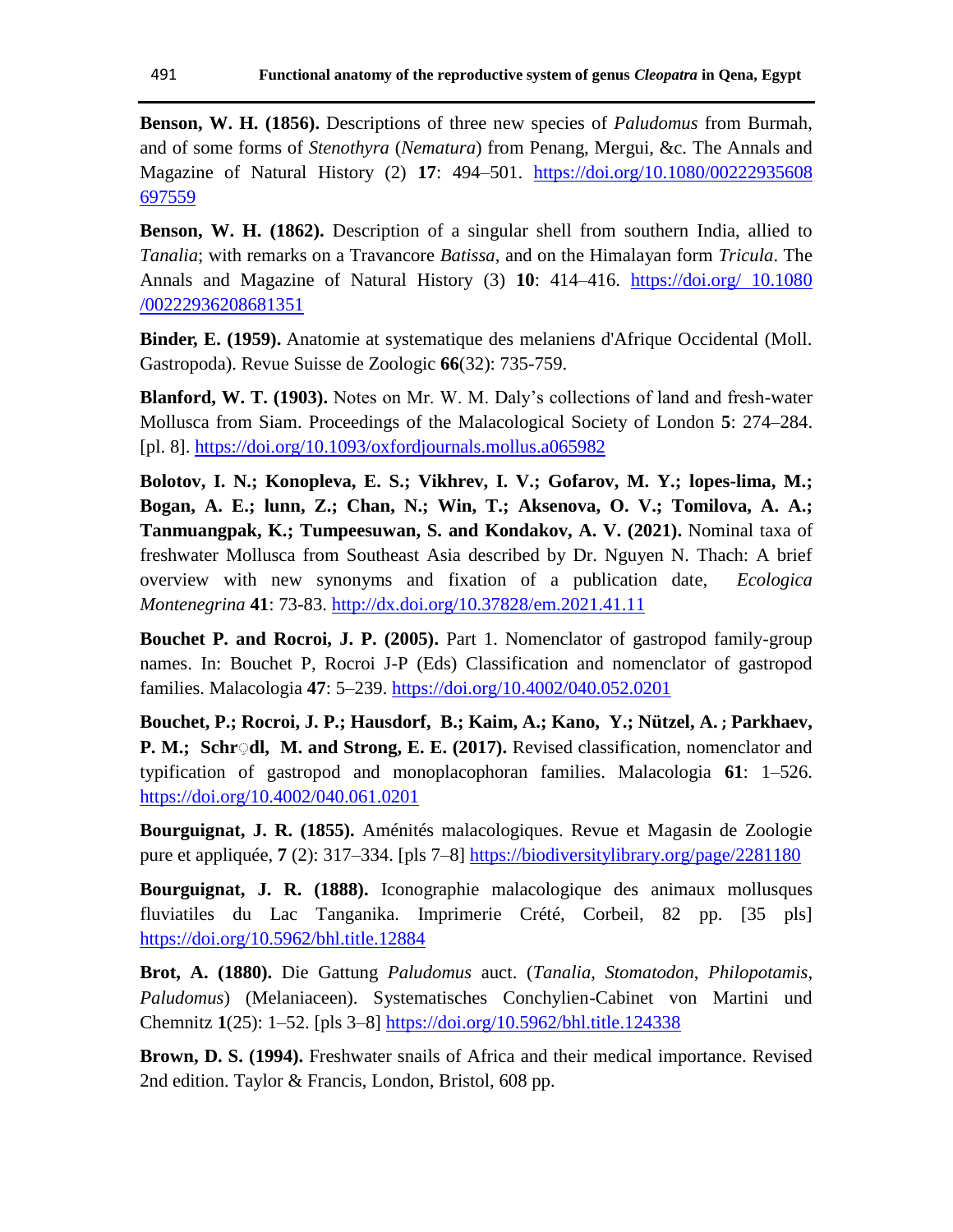**Benson, W. H. (1856).** Descriptions of three new species of *Paludomus* from Burmah, and of some forms of *Stenothyra* (*Nematura*) from Penang, Mergui, &c. The Annals and Magazine of Natural History (2) **17**: 494–501. [https://doi.org/10.1080/00222935608](https://doi.org/10.1080/00222935608%20697559)  [697559](https://doi.org/10.1080/00222935608%20697559)

**Benson, W. H. (1862).** Description of a singular shell from southern India, allied to *Tanalia*; with remarks on a Travancore *Batissa*, and on the Himalayan form *Tricula*. The Annals and Magazine of Natural History (3) **10**: 414–416. [https://doi.org/ 10.1080](https://doi.org/%2010.1080%20/00222936208681351)  [/00222936208681351](https://doi.org/%2010.1080%20/00222936208681351)

**Binder, E. (1959).** Anatomie at systematique des melaniens d'Afrique Occidental (Moll. Gastropoda). Revue Suisse de Zoologic **66**(32): 735-759.

**Blanford, W. T. (1903).** Notes on Mr. W. M. Daly"s collections of land and fresh-water Mollusca from Siam. Proceedings of the Malacological Society of London **5**: 274–284. [pl. 8].<https://doi.org/10.1093/oxfordjournals.mollus.a065982>

**Bolotov, I. N.; Konopleva, E. S.; Vikhrev, I. V.; Gofarov, M. Y.; lopes-lima, M.; Bogan, A. E.; lunn, Z.; Chan, N.; Win, T.; Aksenova, O. V.; Tomilova, A. A.; Tanmuangpak, K.; Tumpeesuwan, S. and Kondakov, A. V. (2021).** Nominal taxa of freshwater Mollusca from Southeast Asia described by Dr. Nguyen N. Thach: A brief overview with new synonyms and fixation of a publication date, *Ecologica Montenegrina* **41**: 73-83. <http://dx.doi.org/10.37828/em.2021.41.11>

**Bouchet P. and Rocroi, J. P. (2005).** Part 1. Nomenclator of gastropod family-group names. In: Bouchet P, Rocroi J-P (Eds) Classification and nomenclator of gastropod families. Malacologia **47**: 5–239.<https://doi.org/10.4002/040.052.0201>

**Bouchet, P.; Rocroi, J. P.; Hausdorf, B.; Kaim, A.; Kano, Y.; Nützel, A. ; Parkhaev, P. M.; Schr***dl, M. and Strong, E. E. (2017).* Revised classification, nomenclator and typification of gastropod and monoplacophoran families. Malacologia **61**: 1–526. <https://doi.org/10.4002/040.061.0201>

**Bourguignat, J. R. (1855).** Aménités malacologiques. Revue et Magasin de Zoologie pure et appliquée, **7** (2): 317–334. [pls 7–8]<https://biodiversitylibrary.org/page/2281180>

**Bourguignat, J. R. (1888).** Iconographie malacologique des animaux mollusques fluviatiles du Lac Tanganika. Imprimerie Crété, Corbeil, 82 pp. [35 pls] <https://doi.org/10.5962/bhl.title.12884>

**Brot, A. (1880).** Die Gattung *Paludomus* auct. (*Tanalia*, *Stomatodon*, *Philopotamis*, *Paludomus*) (Melaniaceen). Systematisches Conchylien-Cabinet von Martini und Chemnitz **1**(25): 1–52. [pls 3–8]<https://doi.org/10.5962/bhl.title.124338>

**Brown, D. S. (1994).** Freshwater snails of Africa and their medical importance. Revised 2nd edition. Taylor & Francis, London, Bristol, 608 pp.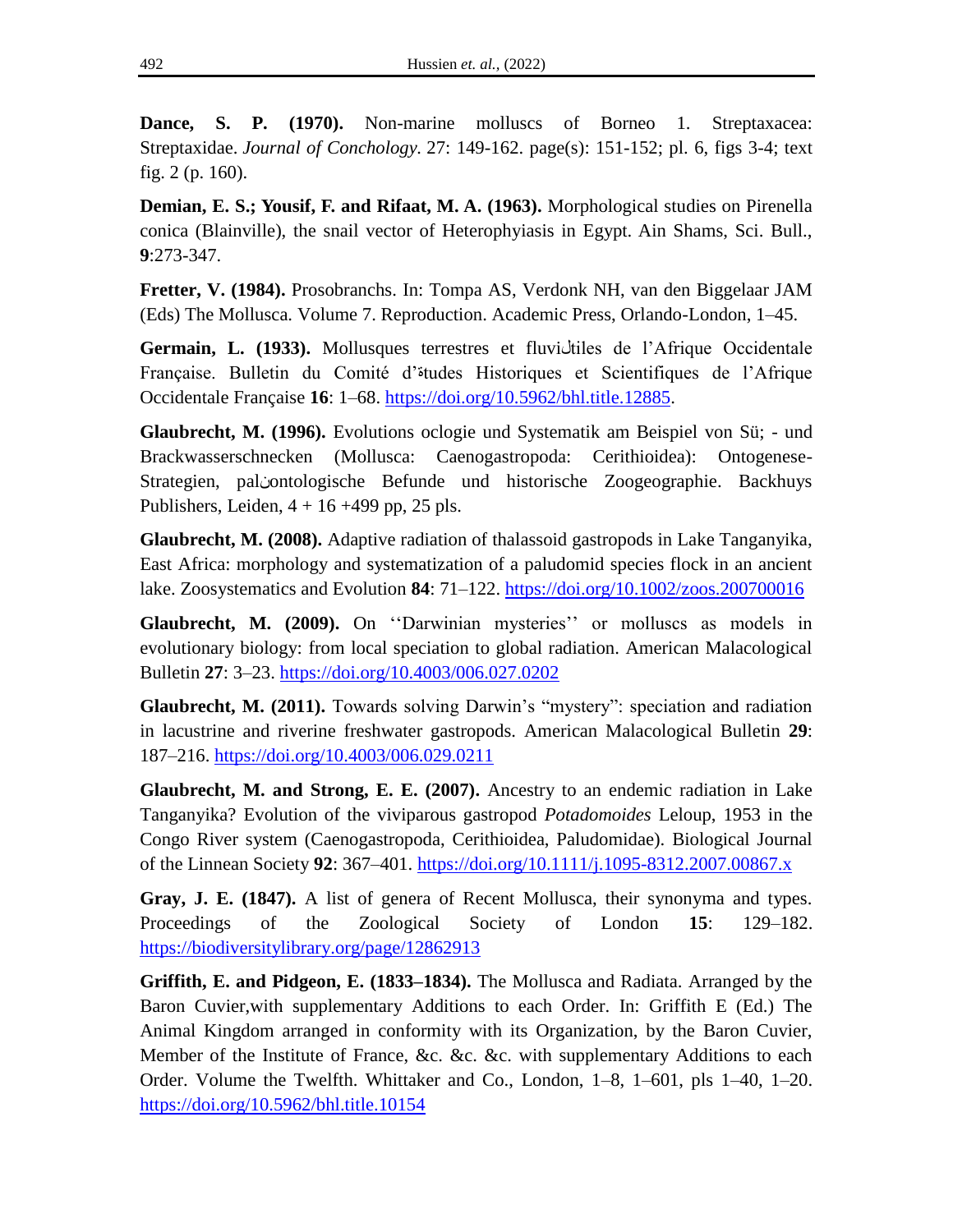**Dance, S. P. (1970).** Non-marine molluscs of Borneo 1. Streptaxacea: Streptaxidae. *Journal of Conchology.* 27: 149-162. page(s): 151-152; pl. 6, figs 3-4; text fig. 2 (p. 160).

**Demian, E. S.; Yousif, F. and Rifaat, M. A. (1963).** Morphological studies on Pirenella conica (Blainville), the snail vector of Heterophyiasis in Egypt. Ain Shams, Sci. Bull., **9**:273-347.

**Fretter, V. (1984).** Prosobranchs. In: Tompa AS, Verdonk NH, van den Biggelaar JAM (Eds) The Mollusca. Volume 7. Reproduction. Academic Press, Orlando-London, 1–45.

**Germain, L. (1933).** Mollusques terrestres et fluviلtiles de l"Afrique Occidentale Française. Bulletin du Comité d"ةtudes Historiques et Scientifiques de l"Afrique Occidentale Française **16**: 1–68. [https://doi.org/10.5962/bhl.title.12885.](https://doi.org/10.5962/bhl.title.12885)

**Glaubrecht, M. (1996).** Evolutions oclogie und Systematik am Beispiel von Sü; - und Brackwasserschnecken (Mollusca: Caenogastropoda: Cerithioidea): Ontogenese-Strategien, palنontologische Befunde und historische Zoogeographie. Backhuys Publishers, Leiden,  $4 + 16 + 499$  pp, 25 pls.

**Glaubrecht, M. (2008).** Adaptive radiation of thalassoid gastropods in Lake Tanganyika, East Africa: morphology and systematization of a paludomid species flock in an ancient lake. Zoosystematics and Evolution **84**: 71–122.<https://doi.org/10.1002/zoos.200700016>

Glaubrecht, M. (2009). On "Darwinian mysteries" or molluscs as models in evolutionary biology: from local speciation to global radiation. American Malacological Bulletin **27**: 3–23.<https://doi.org/10.4003/006.027.0202>

**Glaubrecht, M. (2011).** Towards solving Darwin's "mystery": speciation and radiation in lacustrine and riverine freshwater gastropods. American Malacological Bulletin **29**: 187–216.<https://doi.org/10.4003/006.029.0211>

**Glaubrecht, M. and Strong, E. E. (2007).** Ancestry to an endemic radiation in Lake Tanganyika? Evolution of the viviparous gastropod *Potadomoides* Leloup, 1953 in the Congo River system (Caenogastropoda, Cerithioidea, Paludomidae). Biological Journal of the Linnean Society **92**: 367–401.<https://doi.org/10.1111/j.1095-8312.2007.00867.x>

**Gray, J. E. (1847).** A list of genera of Recent Mollusca, their synonyma and types. Proceedings of the Zoological Society of London **15**: 129–182. <https://biodiversitylibrary.org/page/12862913>

**Griffith, E. and Pidgeon, E. (1833–1834).** The Mollusca and Radiata. Arranged by the Baron Cuvier,with supplementary Additions to each Order. In: Griffith E (Ed.) The Animal Kingdom arranged in conformity with its Organization, by the Baron Cuvier, Member of the Institute of France, &c. &c. &c. with supplementary Additions to each Order. Volume the Twelfth. Whittaker and Co., London, 1–8, 1–601, pls 1–40, 1–20. <https://doi.org/10.5962/bhl.title.10154>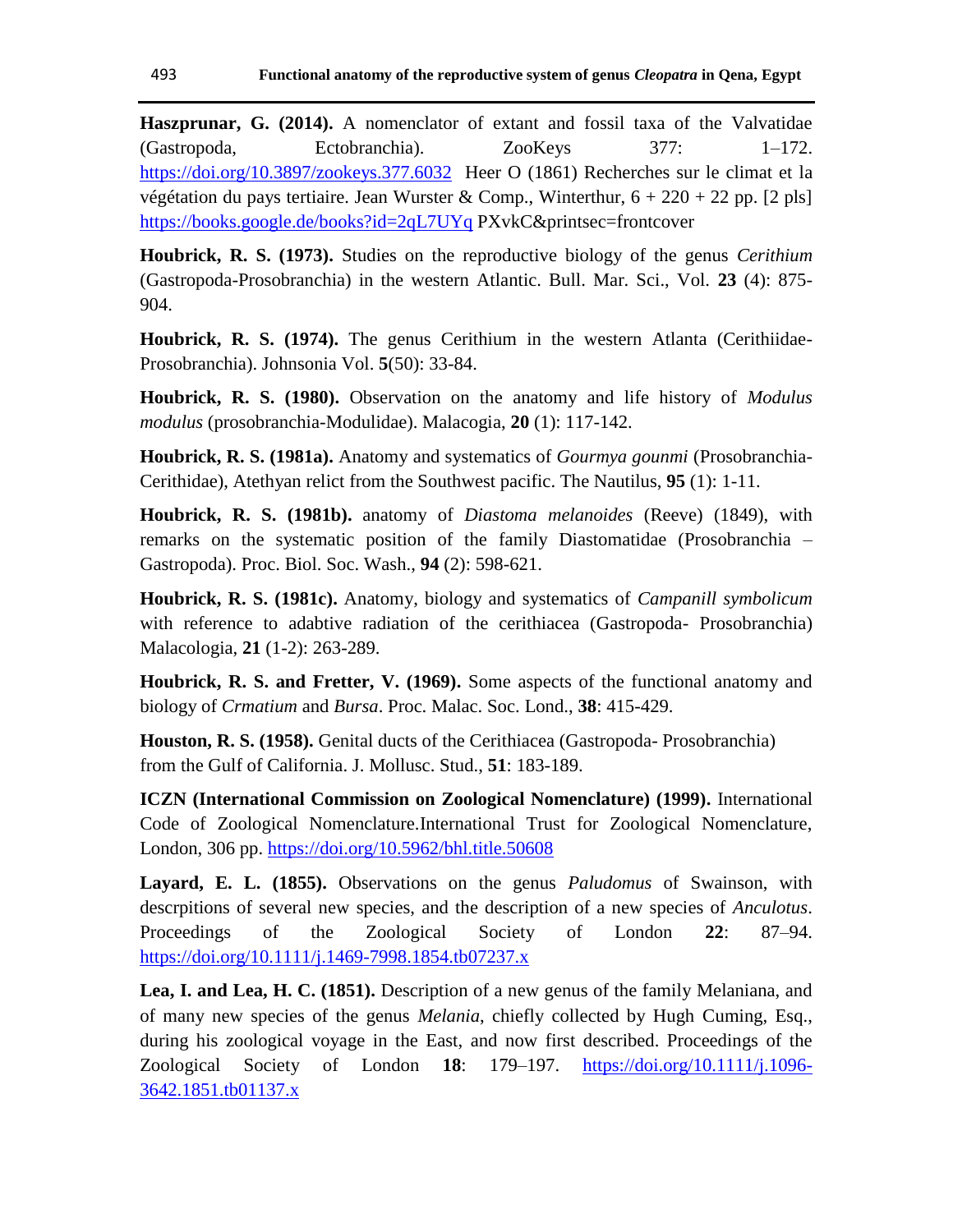**Haszprunar, G. (2014).** A nomenclator of extant and fossil taxa of the Valvatidae (Gastropoda, Ectobranchia). ZooKeys 377: 1–172. <https://doi.org/10.3897/zookeys.377.6032> Heer O (1861) Recherches sur le climat et la végétation du pays tertiaire. Jean Wurster & Comp., Winterthur,  $6 + 220 + 22$  pp. [2 pls] <https://books.google.de/books?id=2qL7UYq> PXvkC&printsec=frontcover

**Houbrick, R. S. (1973).** Studies on the reproductive biology of the genus *Cerithium* (Gastropoda-Prosobranchia) in the western Atlantic. Bull. Mar. Sci., Vol. **23** (4): 875- 904.

**Houbrick, R. S. (1974).** The genus Cerithium in the western Atlanta (Cerithiidae-Prosobranchia). Johnsonia Vol. **5**(50): 33-84.

**Houbrick, R. S. (1980).** Observation on the anatomy and life history of *Modulus modulus* (prosobranchia-Modulidae). Malacogia, **20** (1): 117-142.

**Houbrick, R. S. (1981a).** Anatomy and systematics of *Gourmya gounmi* (Prosobranchia-Cerithidae), Atethyan relict from the Southwest pacific. The Nautilus, **95** (1): 1-11.

**Houbrick, R. S. (1981b).** anatomy of *Diastoma melanoides* (Reeve) (1849), with remarks on the systematic position of the family Diastomatidae (Prosobranchia – Gastropoda). Proc. Biol. Soc. Wash., **94** (2): 598-621.

**Houbrick, R. S. (1981c).** Anatomy, biology and systematics of *Campanill symbolicum* with reference to adabtive radiation of the cerithiacea (Gastropoda- Prosobranchia) Malacologia, **21** (1-2): 263-289.

**Houbrick, R. S. and Fretter, V. (1969).** Some aspects of the functional anatomy and biology of *Crmatium* and *Bursa*. Proc. Malac. Soc. Lond., **38**: 415-429.

**Houston, R. S. (1958).** Genital ducts of the Cerithiacea (Gastropoda- Prosobranchia) from the Gulf of California. J. Mollusc. Stud., **51**: 183-189.

**ICZN (International Commission on Zoological Nomenclature) (1999).** International Code of Zoological Nomenclature.International Trust for Zoological Nomenclature, London, 306 pp.<https://doi.org/10.5962/bhl.title.50608>

**Layard, E. L. (1855).** Observations on the genus *Paludomus* of Swainson, with descrpitions of several new species, and the description of a new species of *Anculotus*. Proceedings of the Zoological Society of London **22**: 87–94. <https://doi.org/10.1111/j.1469-7998.1854.tb07237.x>

**Lea, I. and Lea, H. C. (1851).** Description of a new genus of the family Melaniana, and of many new species of the genus *Melania*, chiefly collected by Hugh Cuming, Esq., during his zoological voyage in the East, and now first described. Proceedings of the Zoological Society of London **18**: 179–197. [https://doi.org/10.1111/j.1096-](https://doi.org/10.1111/j.1096-3642.1851.tb01137.x) [3642.1851.tb01137.x](https://doi.org/10.1111/j.1096-3642.1851.tb01137.x)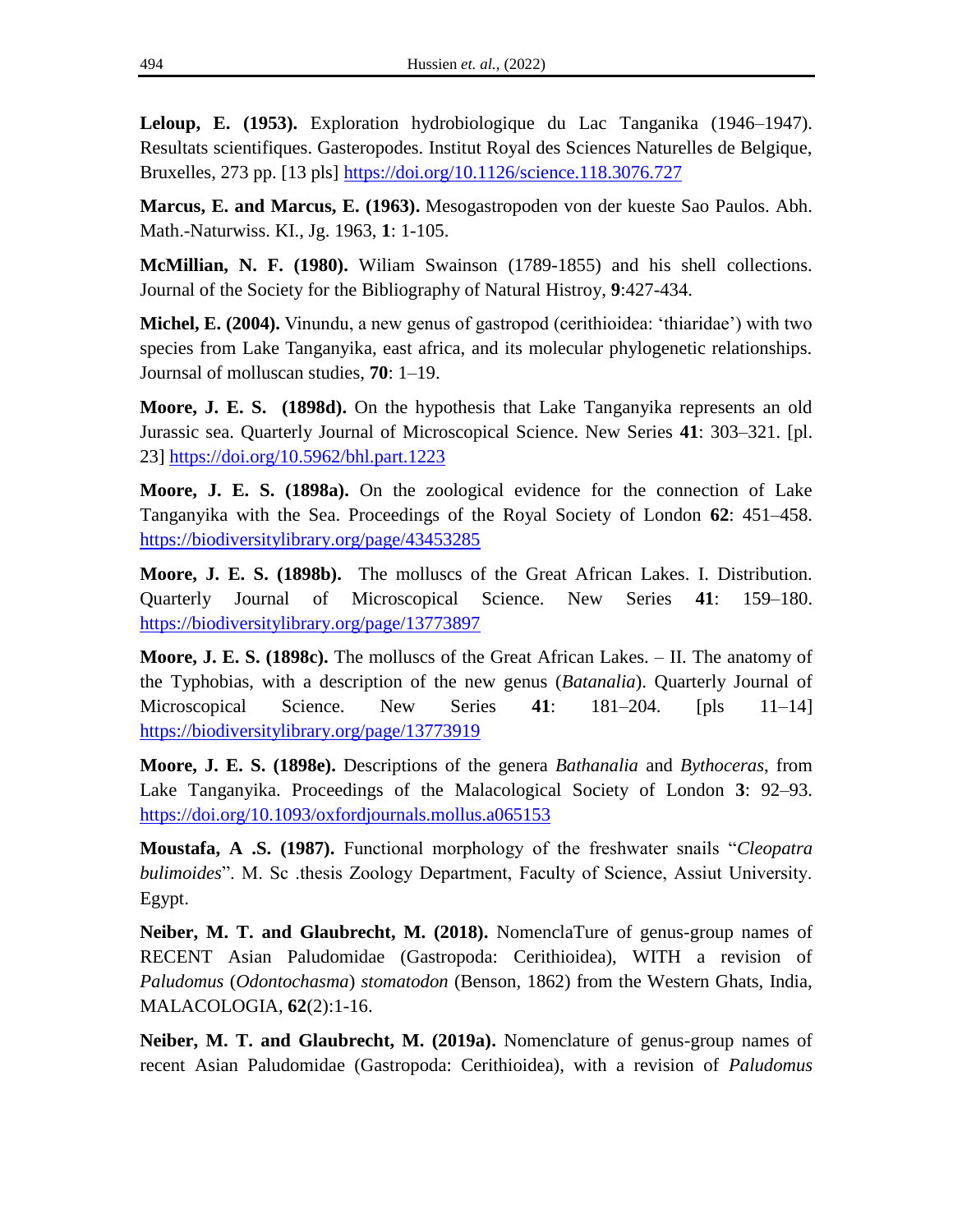**Leloup, E. (1953).** Exploration hydrobiologique du Lac Tanganika (1946–1947). Resultats scientifiques. Gasteropodes. Institut Royal des Sciences Naturelles de Belgique, Bruxelles, 273 pp. [13 pls]<https://doi.org/10.1126/science.118.3076.727>

**Marcus, E. and Marcus, E. (1963).** Mesogastropoden von der kueste Sao Paulos. Abh. Math.-Naturwiss. KI., Jg. 1963, **1**: 1-105.

**McMillian, N. F. (1980).** Wiliam Swainson (1789-1855) and his shell collections. Journal of the Society for the Bibliography of Natural Histroy, **9**:427-434.

**Michel, E. (2004).** Vinundu, a new genus of gastropod (cerithioidea: "thiaridae") with two species from Lake Tanganyika, east africa, and its molecular phylogenetic relationships. Journsal of molluscan studies, **70**: 1–19.

**Moore, J. E. S. (1898d).** On the hypothesis that Lake Tanganyika represents an old Jurassic sea. Quarterly Journal of Microscopical Science. New Series **41**: 303–321. [pl. 23]<https://doi.org/10.5962/bhl.part.1223>

**Moore, J. E. S. (1898a).** On the zoological evidence for the connection of Lake Tanganyika with the Sea. Proceedings of the Royal Society of London **62**: 451–458. <https://biodiversitylibrary.org/page/43453285>

**Moore, J. E. S. (1898b).** The molluscs of the Great African Lakes. I. Distribution. Quarterly Journal of Microscopical Science. New Series **41**: 159–180. <https://biodiversitylibrary.org/page/13773897>

**Moore, J. E. S. (1898c).** The molluscs of the Great African Lakes. – II. The anatomy of the Typhobias, with a description of the new genus (*Batanalia*). Quarterly Journal of Microscopical Science. New Series **41**: 181–204. [pls 11–14] <https://biodiversitylibrary.org/page/13773919>

**Moore, J. E. S. (1898e).** Descriptions of the genera *Bathanalia* and *Bythoceras*, from Lake Tanganyika. Proceedings of the Malacological Society of London **3**: 92–93. <https://doi.org/10.1093/oxfordjournals.mollus.a065153>

**Moustafa, A .S. (1987).** Functional morphology of the freshwater snails "*Cleopatra bulimoides*". M. Sc .thesis Zoology Department, Faculty of Science, Assiut University. Egypt.

**Neiber, M. T. and Glaubrecht, M. (2018).** NomenclaTure of genus-group names of RECENT Asian Paludomidae (Gastropoda: Cerithioidea), WITH a revision of *Paludomus* (*Odontochasma*) *stomatodon* (Benson, 1862) from the Western Ghats, India, MALACOLOGIA, **62**(2):1-16.

**Neiber, M. T. and Glaubrecht, M. (2019a).** Nomenclature of genus-group names of recent Asian Paludomidae (Gastropoda: Cerithioidea), with a revision of *Paludomus*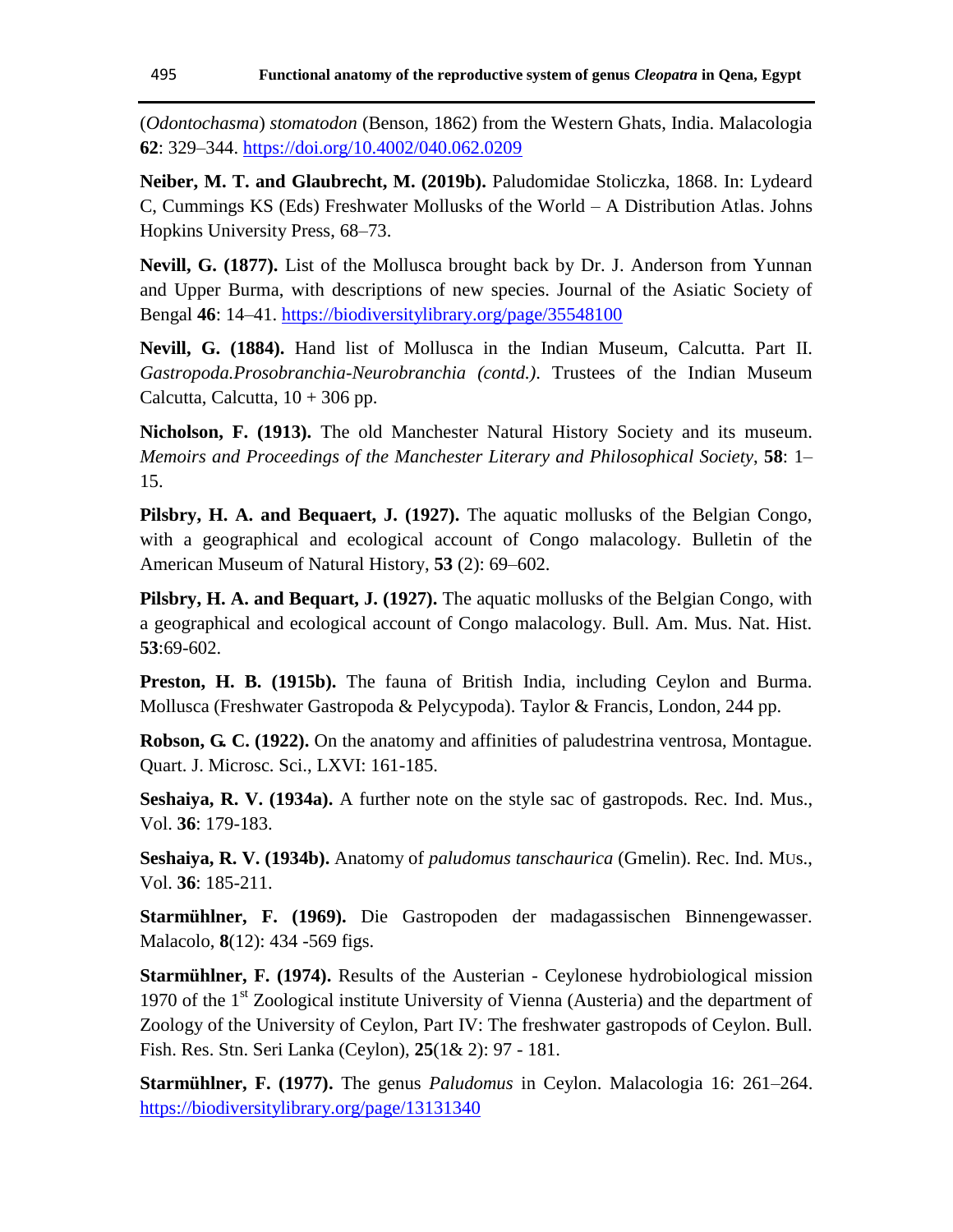(*Odontochasma*) *stomatodon* (Benson, 1862) from the Western Ghats, India. Malacologia **62**: 329–344.<https://doi.org/10.4002/040.062.0209>

**Neiber, M. T. and Glaubrecht, M. (2019b).** Paludomidae Stoliczka, 1868. In: Lydeard C, Cummings KS (Eds) Freshwater Mollusks of the World – A Distribution Atlas. Johns Hopkins University Press, 68–73.

**Nevill, G. (1877).** List of the Mollusca brought back by Dr. J. Anderson from Yunnan and Upper Burma, with descriptions of new species. Journal of the Asiatic Society of Bengal **46**: 14–41.<https://biodiversitylibrary.org/page/35548100>

**Nevill, G. (1884).** Hand list of Mollusca in the Indian Museum, Calcutta. Part II. *Gastropoda.Prosobranchia-Neurobranchia (contd.)*. Trustees of the Indian Museum Calcutta, Calcutta,  $10 + 306$  pp.

**Nicholson, F. (1913).** The old Manchester Natural History Society and its museum. *Memoirs and Proceedings of the Manchester Literary and Philosophical Society*, **58**: 1– 15.

**Pilsbry, H. A. and Bequaert, J. (1927).** The aquatic mollusks of the Belgian Congo, with a geographical and ecological account of Congo malacology. Bulletin of the American Museum of Natural History, **53** (2): 69–602.

**Pilsbry, H. A. and Bequart, J. (1927).** The aquatic mollusks of the Belgian Congo, with a geographical and ecological account of Congo malacology. Bull. Am. Mus. Nat. Hist. **53**:69-602.

**Preston, H. B. (1915b).** The fauna of British India, including Ceylon and Burma. Mollusca (Freshwater Gastropoda & Pelycypoda). Taylor & Francis, London, 244 pp.

**Robson, G. C. (1922).** On the anatomy and affinities of paludestrina ventrosa, Montague. Quart. J. Microsc. Sci., LXVI: 161-185.

**Seshaiya, R. V. (1934a).** A further note on the style sac of gastropods. Rec. Ind. Mus., Vol. **36**: 179-183.

**Seshaiya, R. V. (1934b).** Anatomy of *paludomus tanschaurica* (Gmelin). Rec. Ind. MUs., Vol. **36**: 185-211.

**Starmühlner, F. (1969).** Die Gastropoden der madagassischen Binnengewasser. Malacolo, **8**(12): 434 -569 figs.

**Starmühlner, F. (1974).** Results of the Austerian - Ceylonese hydrobiological mission 1970 of the 1<sup>st</sup> Zoological institute University of Vienna (Austeria) and the department of Zoology of the University of Ceylon, Part IV: The freshwater gastropods of Ceylon. Bull. Fish. Res. Stn. Seri Lanka (Ceylon), **25**(1& 2): 97 - 181.

**Starmühlner, F. (1977).** The genus *Paludomus* in Ceylon. Malacologia 16: 261–264. <https://biodiversitylibrary.org/page/13131340>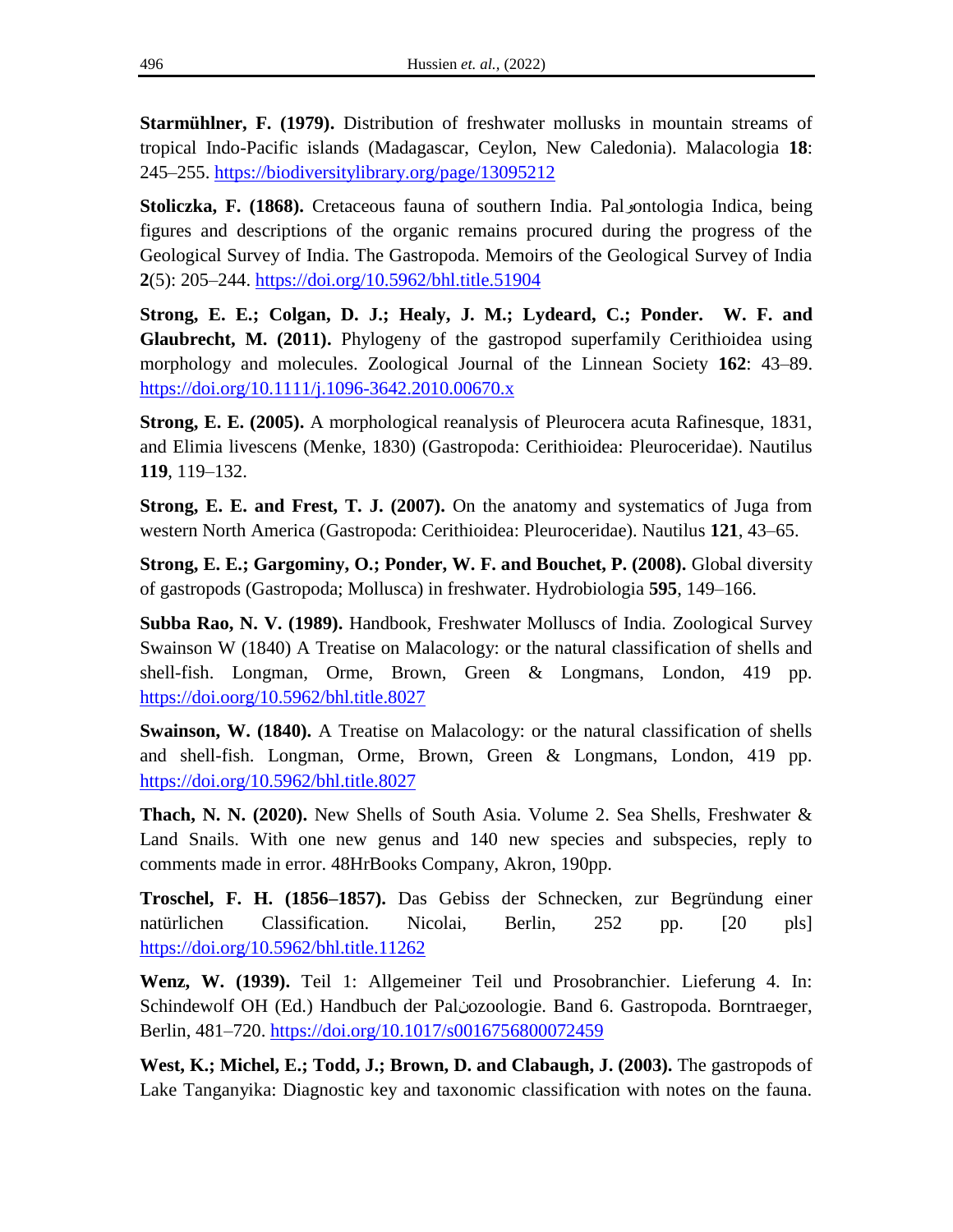**Starmühlner, F. (1979).** Distribution of freshwater mollusks in mountain streams of tropical Indo-Pacific islands (Madagascar, Ceylon, New Caledonia). Malacologia **18**: 245–255.<https://biodiversitylibrary.org/page/13095212>

**Stoliczka, F. (1868).** Cretaceous fauna of southern India. Pal ontologia Indica, being figures and descriptions of the organic remains procured during the progress of the Geological Survey of India. The Gastropoda. Memoirs of the Geological Survey of India **2**(5): 205–244.<https://doi.org/10.5962/bhl.title.51904>

**Strong, E. E.; Colgan, D. J.; Healy, J. M.; Lydeard, C.; Ponder. W. F. and Glaubrecht, M. (2011).** Phylogeny of the gastropod superfamily Cerithioidea using morphology and molecules. Zoological Journal of the Linnean Society **162**: 43–89. <https://doi.org/10.1111/j.1096-3642.2010.00670.x>

**Strong, E. E. (2005).** A morphological reanalysis of Pleurocera acuta Rafinesque, 1831, and Elimia livescens (Menke, 1830) (Gastropoda: Cerithioidea: Pleuroceridae). Nautilus **119**, 119–132.

**Strong, E. E. and Frest, T. J. (2007).** On the anatomy and systematics of Juga from western North America (Gastropoda: Cerithioidea: Pleuroceridae). Nautilus **121**, 43–65.

**Strong, E. E.; Gargominy, O.; Ponder, W. F. and Bouchet, P. (2008).** Global diversity of gastropods (Gastropoda; Mollusca) in freshwater. Hydrobiologia **595**, 149–166.

**Subba Rao, N. V. (1989).** Handbook, Freshwater Molluscs of India. Zoological Survey Swainson W (1840) A Treatise on Malacology: or the natural classification of shells and shell-fish. Longman, Orme, Brown, Green & Longmans, London, 419 pp. <https://doi.oorg/10.5962/bhl.title.8027>

**Swainson, W. (1840).** A Treatise on Malacology: or the natural classification of shells and shell-fish. Longman, Orme, Brown, Green & Longmans, London, 419 pp. <https://doi.org/10.5962/bhl.title.8027>

**Thach, N. N. (2020).** New Shells of South Asia. Volume 2. Sea Shells, Freshwater & Land Snails. With one new genus and 140 new species and subspecies, reply to comments made in error. 48HrBooks Company, Akron, 190pp.

**Troschel, F. H. (1856–1857).** Das Gebiss der Schnecken, zur Begründung einer natürlichen Classification. Nicolai, Berlin, 252 pp. [20 pls] <https://doi.org/10.5962/bhl.title.11262>

**Wenz, W. (1939).** Teil 1: Allgemeiner Teil und Prosobranchier. Lieferung 4. In: Schindewolf OH (Ed.) Handbuch der Palنozoologie. Band 6. Gastropoda. Borntraeger, Berlin, 481–720.<https://doi.org/10.1017/s0016756800072459>

**West, K.; Michel, E.; Todd, J.; Brown, D. and Clabaugh, J. (2003).** The gastropods of Lake Tanganyika: Diagnostic key and taxonomic classification with notes on the fauna.